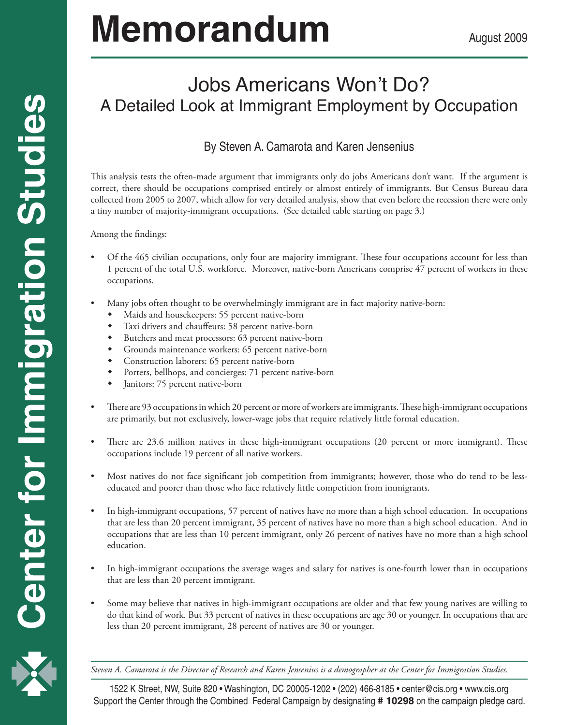# Jobs Americans Won't Do? A Detailed Look at Immigrant Employment by Occupation

#### By Steven A. Camarota and Karen Jensenius

This analysis tests the often-made argument that immigrants only do jobs Americans don't want. If the argument is correct, there should be occupations comprised entirely or almost entirely of immigrants. But Census Bureau data collected from 2005 to 2007, which allow for very detailed analysis, show that even before the recession there were only a tiny number of majority-immigrant occupations. (See detailed table starting on page 3.)

Among the findings:

- Of the 465 civilian occupations, only four are majority immigrant. These four occupations account for less than 1 percent of the total U.S. workforce. Moreover, native-born Americans comprise 47 percent of workers in these occupations.
- Many jobs often thought to be overwhelmingly immigrant are in fact majority native-born:
	- Maids and housekeepers: 55 percent native-born
	- Taxi drivers and chauffeurs: 58 percent native-born
	- Butchers and meat processors: 63 percent native-born
	- Grounds maintenance workers: 65 percent native-born
	- Construction laborers: 65 percent native-born
	- Porters, bellhops, and concierges: 71 percent native-born
	- Janitors: 75 percent native-born
- There are 93 occupations in which 20 percent or more of workers are immigrants. These high-immigrant occupations are primarily, but not exclusively, lower-wage jobs that require relatively little formal education.
- There are 23.6 million natives in these high-immigrant occupations (20 percent or more immigrant). These occupations include 19 percent of all native workers.
- Most natives do not face significant job competition from immigrants; however, those who do tend to be lesseducated and poorer than those who face relatively little competition from immigrants.
- In high-immigrant occupations, 57 percent of natives have no more than a high school education. In occupations that are less than 20 percent immigrant, 35 percent of natives have no more than a high school education. And in occupations that are less than 10 percent immigrant, only 26 percent of natives have no more than a high school education.
- In high-immigrant occupations the average wages and salary for natives is one-fourth lower than in occupations that are less than 20 percent immigrant.
- Some may believe that natives in high-immigrant occupations are older and that few young natives are willing to do that kind of work. But 33 percent of natives in these occupations are age 30 or younger. In occupations that are less than 20 percent immigrant, 28 percent of natives are 30 or younger.

*Steven A. Camarota is the Director of Research and Karen Jensenius is a demographer at the Center for Immigration Studies.*

 1522 K Street, NW, Suite 820 • Washington, DC 20005-1202 • (202) 466-8185 • center@cis.org • www.cis.org Support the Center through the Combined Federal Campaign by designating **# 10298** on the campaign pledge card.

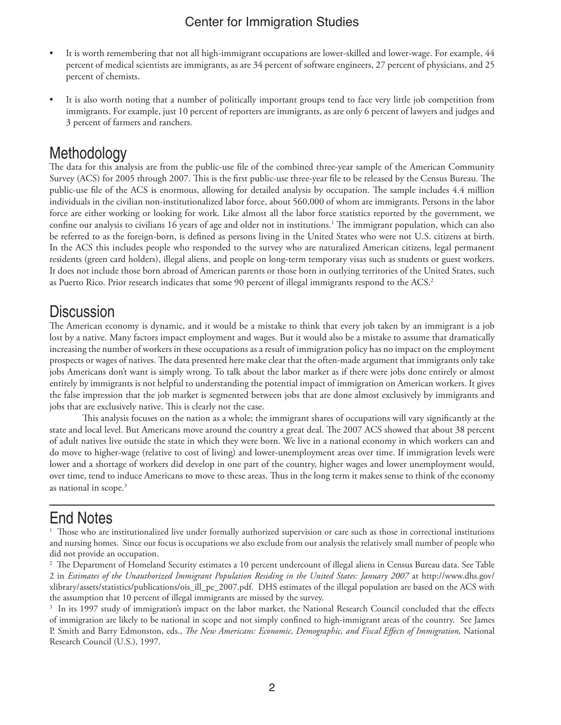- It is worth remembering that not all high-immigrant occupations are lower-skilled and lower-wage. For example, 44 percent of medical scientists are immigrants, as are 34 percent of software engineers, 27 percent of physicians, and 25 percent of chemists.
- It is also worth noting that a number of politically important groups tend to face very little job competition from immigrants. For example, just 10 percent of reporters are immigrants, as are only 6 percent of lawyers and judges and 3 percent of farmers and ranchers.

### **Methodology**

The data for this analysis are from the public-use file of the combined three-year sample of the American Community Survey (ACS) for 2005 through 2007. This is the first public-use three-year file to be released by the Census Bureau. The public-use file of the ACS is enormous, allowing for detailed analysis by occupation. The sample includes 4.4 million individuals in the civilian non-institutionalized labor force, about 560,000 of whom are immigrants. Persons in the labor force are either working or looking for work. Like almost all the labor force statistics reported by the government, we confine our analysis to civilians 16 years of age and older not in institutions.1 The immigrant population, which can also be referred to as the foreign-born, is defined as persons living in the United States who were not U.S. citizens at birth. In the ACS this includes people who responded to the survey who are naturalized American citizens, legal permanent residents (green card holders), illegal aliens, and people on long-term temporary visas such as students or guest workers. It does not include those born abroad of American parents or those born in outlying territories of the United States, such as Puerto Rico. Prior research indicates that some 90 percent of illegal immigrants respond to the ACS.2

#### **Discussion**

The American economy is dynamic, and it would be a mistake to think that every job taken by an immigrant is a job lost by a native. Many factors impact employment and wages. But it would also be a mistake to assume that dramatically increasing the number of workers in these occupations as a result of immigration policy has no impact on the employment prospects or wages of natives. The data presented here make clear that the often-made argument that immigrants only take jobs Americans don't want is simply wrong. To talk about the labor market as if there were jobs done entirely or almost entirely by immigrants is not helpful to understanding the potential impact of immigration on American workers. It gives the false impression that the job market is segmented between jobs that are done almost exclusively by immigrants and jobs that are exclusively native. This is clearly not the case.

This analysis focuses on the nation as a whole; the immigrant shares of occupations will vary significantly at the state and local level. But Americans move around the country a great deal. The 2007 ACS showed that about 38 percent of adult natives live outside the state in which they were born. We live in a national economy in which workers can and do move to higher-wage (relative to cost of living) and lower-unemployment areas over time. If immigration levels were lower and a shortage of workers did develop in one part of the country, higher wages and lower unemployment would, over time, tend to induce Americans to move to these areas. Thus in the long term it makes sense to think of the economy as national in scope.<sup>3</sup>

### End Notes

1 Those who are institutionalized live under formally authorized supervision or care such as those in correctional institutions and nursing homes. Since our focus is occupations we also exclude from our analysis the relatively small number of people who did not provide an occupation.

2 The Department of Homeland Security estimates a 10 percent undercount of illegal aliens in Census Bureau data. See Table 2 in *Estimates of the Unauthorized Immigrant Population Residing in the United States: January 2007* at http://www.dhs.gov/ xlibrary/assets/statistics/publications/ois\_ill\_pe\_2007.pdf. DHS estimates of the illegal population are based on the ACS with the assumption that 10 percent of illegal immigrants are missed by the survey.

<sup>3</sup> In its 1997 study of immigration's impact on the labor market, the National Research Council concluded that the effects of immigration are likely to be national in scope and not simply confined to high-immigrant areas of the country. See James P. Smith and Barry Edmonston, eds., *The New Americans: Economic, Demographic, and Fiscal Effects of Immigration,* National Research Council (U.S.), 1997.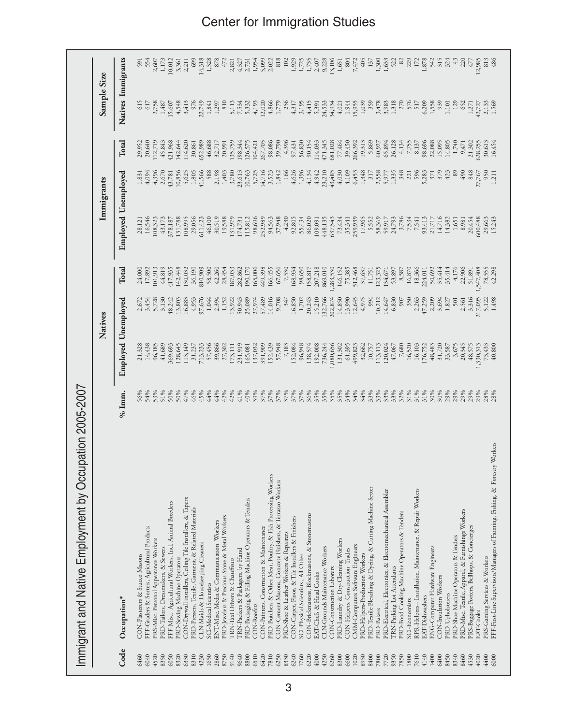|              | Immigrant and Native Employment by Occupation 2005-2007                                                          |            |                            |                  |                    |                            |                         |                    |                                        |                       |
|--------------|------------------------------------------------------------------------------------------------------------------|------------|----------------------------|------------------|--------------------|----------------------------|-------------------------|--------------------|----------------------------------------|-----------------------|
|              |                                                                                                                  |            |                            | Natives          |                    |                            | Immigrants              |                    | Sample Size                            |                       |
| Code         | Occupation*                                                                                                      | $%$ Imm.   | <b>Employed Unemployed</b> |                  | Total              | <b>Employed Unemployed</b> |                         | Total              | Natives Immigrants                     |                       |
| 6460         | CON-Plasterers & Stucco Masons                                                                                   | 56%        | 21,328                     |                  | 24,000             | 28,121                     | 1,831                   | 29,952             | 615                                    | 591                   |
| 6040         | FFF-Graders & Sorters, Agricultural Products                                                                     | 54%        | 14,438                     | 2,672<br>3,454   | 17,892             | 16,546                     | 4,094                   | 20,640             | 617                                    | 554                   |
| 4520         | PRS-Misc. Personal Appearance Workers                                                                            | 53%        | 96,185                     | 5,728            | 101,913            | 108,323                    | 4,396                   | 112,719            | 2,758                                  | 2,607                 |
| 8350         | PRD-Tailors, Dressmakers, & Sewers                                                                               | 51%        | 41,689                     | 3,130            | 44,819             | 43,173                     | 2,670                   | 45,843             | 1,487                                  | 1,173                 |
| 6050         | FFF-Misc. Agricultural Workers, Incl. Animal Breeders                                                            | 50%        | 869,693                    | 48,242           | 417,935            | 378,187                    | 43,781                  | 421,968            | 15,607                                 | 10,012                |
| 8320         | PRD-Sewing Machine Operators                                                                                     | 50%<br>47% | 128,645                    | 13,803           | 142,448            | 131,788                    | 10,856<br>5,625         | 142,644            | 4,548                                  | 3,361                 |
| 6330<br>8310 | CON-Drywall installers, Ceiling Tile Installers, & Tapers<br>PRD-Pressers, Textile, Garment, & Related Materials | 46%        | 113,149<br>31,237          | 16,883<br>4,953  | 36,190<br>130,032  | 29,056<br>108,995          | 1,805                   | 114,620<br>30,861  | 3,413<br>976                           | 699<br>2,211          |
| 4230         | CLN-Maids & Housekeeping Cleaners                                                                                | 45%        | 713,233                    | 97,676           | 810,909            | 611,423                    | 41,566                  | 652,989            | 22,749                                 | 14,318                |
| 1650         | SCI-Medical Scientists                                                                                           | 44%        | 57,456                     | 1,044            | 58,500             | 46,100                     | 588                     | 46,688             | 1,841                                  | 1,328                 |
| 2860         | ENT-Misc. Media & Communication Workers                                                                          | 44%        | 39,866                     | 2,394            | 42,260             | 30,519                     | 2,198                   | 32,717             | 1,297                                  | 878                   |
| 8750         | PRD-Jewelers & Precious Stone & Metal Workers                                                                    | 42%        | 27,302                     | 1,152            | 28,454             | 19,588                     | 1,403                   | 20,991             | 810                                    | 472                   |
| 9140<br>9640 | TRN-Taxi Drivers & Chauffeurs                                                                                    | 42%<br>41% | 173,111                    | 13,922<br>50,943 | 187,033            | 131,979                    | 3,780                   | 135,759            | 5,113                                  | $2,821$<br>4,327      |
| 8800         | PRD-Packaging & Filling Machine Operators & Tenders<br>TRN-Packers & Packagers, by Hand                          | 40%        | 231,919<br>165,081         | 25,089           | 190,170<br>282,862 | 174,731<br>115,812         | 23,613<br>10,763        | 126,575<br>198,344 | 7,534<br>5,332                         | 2,731                 |
| 6510         | CON-Roofers                                                                                                      | 39%        | 137,032                    |                  | 165,006            | 98,696                     |                         |                    |                                        |                       |
| 6420         | CON-Painters, Construction & Maintenance                                                                         |            | 391,909                    | 27,974<br>57,489 | 449,398            | 252,989                    | 5,725<br>14,716         | 104,421<br>267,705 | $4,193$<br>12,020                      | 1,954<br>5,099        |
| 7810         | PRD-Butchers & Other Meat, Poultry, & Fish Processing Workers                                                    | 37%<br>37% | 152,439                    | 14,016           | 166,455            | 94,563                     | 3,523                   | 98,086             | 4,866                                  | 2,022                 |
| 6250         | CON-Cement Masons, Concrete Finishers, & Terrazzo Workers                                                        | 37%        | 57,948                     | 9,708            | 67,656             | 37,948                     | 1,842                   | 39,790             | 1,779                                  | 818                   |
| 8330         | PRD-Shoe & Leather Workers & Repairers                                                                           | 37%<br>37% | 7,183                      | 347              | 7,530              | 4,230                      | 166                     | 4,396              | 256                                    | 102                   |
| 6240         | CON-Carpet, Floor, & Tile Installers & Finishers                                                                 |            | 152,084                    | 16,850           | 168,934            | 92,805                     | 4,626                   | 97,431             | 4,317                                  | 1,929                 |
| 1760<br>6220 | SCI-Physical Scientists, All Other                                                                               | 37%<br>36% | 96,948                     | 1,702            | 98,650             | 55,434<br>86,020           | 1,396<br>4,134          | 56,830<br>90,154   | 3,195                                  | 1,725                 |
| 4000         | CON-Brickmasons, Blockmasons, & Stonemasons<br>EAT-Chefs & Head Cooks                                            | 35%        | 192,008<br>138,574         | 15,210<br>20,243 | 207,218<br>158,817 | 109,091                    | 4,942                   | 114,033            | 4,415<br>5,391                         |                       |
| 4250         | CLN-Grounds Maintenance Workers                                                                                  | 35%        | 736,244                    | 132,766          | 869,010            | 448,135                    | 23,210                  | 471,345            | 24,533                                 | $\frac{1,735}{2,407}$ |
| 6260         | CON-Construction Laborers                                                                                        | 35%        | 1,080,656                  | 202,874          | 1,283,530          | 637,543                    | 43,485                  | 681,028            | 34,934                                 |                       |
| 8300         | PRD-Laundry & Dry-Cleaning Workers                                                                               | 35%<br>34% |                            | 14,850           | 146,152            | 73,434                     | 4,030                   | 77,464<br>39,450   |                                        | $13,106$<br>$1,651$   |
| 6600         | CON-Helpers, Construction Trades                                                                                 |            | 131,302<br>61,395          | 13,990           | 75,385             | 35,341                     | 4,109                   |                    | $4,021$<br>1,944                       | 804<br>7,472          |
| 1020         | CMM-Computers Software Engineers                                                                                 | 34%        | 499,823                    | 12,645           | 512,468            | 259,939                    | 6,453                   | 266,392            | 15,955                                 |                       |
| 8950         | PRD-Helpers-Production Workers                                                                                   | 34%<br>33% | 32,662                     | 4,975            | 37,637             | 17,965<br>5,552            | 1,348                   | 19,313<br>5,869    | 1,039                                  | 405                   |
| 8400<br>7800 | PRD-Textile Bleaching & Dyeing, & Cutting Machine Setter<br>PRD-Bakers                                           | 33%        | 10,757<br>113,113          | 994<br>10,212    | 123,325<br>11,751  | 58,369                     | 317                     | 60,927             |                                        | 1,300<br>137          |
| 7720         | PRD-Electrical, Electronics, & Electromechanical Assembler                                                       | 33%        | 120,024                    | 14,647           | 134,671            | 59,917                     | 2,558<br>5,977<br>1,335 | 65,894             | $359$<br>$3,478$<br>$3,983$<br>$1,318$ | 1,633                 |
| 9350         | TRN-Parking Lot Attendants                                                                                       | 33%        | 47,067                     | 6,830            | 53,897             | 24,793                     |                         | 26,128             |                                        | 522                   |
| 7850         | PRD-Food Cooking Machine Operators & Tenders                                                                     | 32%        | 7,680                      | 907              | 8,587              | 3,786                      | 348                     | 4,134              | 270                                    | $\frac{8}{2}$         |
| 1800         | SCI-Economists                                                                                                   | 31%        | 16,520                     | 350              | 16,870             | 7,534                      | 221                     | 7,755              | 576                                    | 229                   |
| 7610         | RPR-Helpers-- Installation, Maintenance, & Repair Workers                                                        | 31%        | 16,103                     | 2,263            | 18,366             | 7,541<br>93,413            | 596                     | 8,137              | 517                                    | 172                   |
| 4140         | EAT-Dishwashers                                                                                                  | 31%        | 176,752                    | 47,259           | 224,011            |                            | 5,283                   | 98,696             | 6,209                                  | 1,878                 |
| 1400         | ENG-Computer Hardware Engineers                                                                                  | 30%        | 48,483                     | 2,209            | 50,692             | 21,717                     | 371                     | 22,088             | 1,558                                  | 542                   |
| 6400         | CON-Insulation Workers                                                                                           | 30%        | 31,720                     | 3,694<br>1,827   | 35,414             | 14,716                     | 379                     | 15,095             | 939                                    | 315                   |
| 8450         | PRD-Upholsterers                                                                                                 | 29%        | 33,587                     |                  | 35,414             | 14,382                     | 423                     | 14,805             | 1,101                                  | 324                   |
| 8340<br>8460 | PRD-Misc. Textile, Apparel, & Furnishings Workers<br>PRD-Shoe Machine Operators & Tenders                        | 29%<br>29% | 3,675<br>20,345            | 2,561<br>501     | 4,176<br>22,906    | 1,651<br>8,981             | 89<br>490               | 1,740<br>9,471     | 129<br>652                             | $\frac{43}{5}$<br>220 |
| 4530         | PRS-Baggage Porters, Bellhops, & Concierges                                                                      | 29%        | 48,575                     | 3,316            | 51,891             | 20,454                     | 848                     | 21,302             | 1,271                                  | 477                   |
| 4020         | EAT-Cooks                                                                                                        | 29%        | 1,330,313                  | 217,095          | 1,547,408          | 600,488                    | 27,767                  | 628,255            | 42,727                                 | 12,985                |
| 4400         | PRS-Gaming Services & Workers                                                                                    | 28%        | 73,433                     | 5,122            | 78,555             | 29,663                     | 950                     | 30,613             |                                        | 813                   |
| 6000         | FFF-First-Line Supervisors/Managers of Farming, Fishing, & Forestry Workers                                      | 28%        | 40,800                     | 1,498            | 42,298             | 15,243                     | 1,211                   | 16,454             | 2,133<br>1,569                         | 486                   |
|              |                                                                                                                  |            |                            |                  |                    |                            |                         |                    |                                        |                       |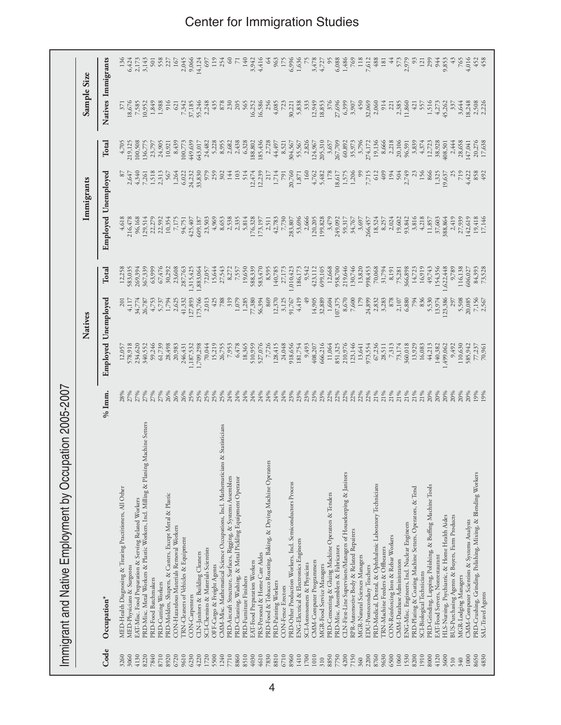|                     | ation 2005-2007<br>Immigrant and Native Employment by Occup                                    |            |                            |                  |                     |                            |                       |                      |                    |                    |
|---------------------|------------------------------------------------------------------------------------------------|------------|----------------------------|------------------|---------------------|----------------------------|-----------------------|----------------------|--------------------|--------------------|
|                     |                                                                                                |            | Natives                    |                  |                     |                            | Immigrants            |                      | Sample Size        |                    |
| Code                | $O$ ccupation*                                                                                 | $%$ Imm.   | <b>Employed Unemployed</b> |                  | Total               | <b>Employed Unemployed</b> |                       | Total                | Natives Immigrants |                    |
| 3260                | MED-Health Diagnosing & Treating Practitioners, All Other                                      | 28%        | 12,057                     | 201              | 12,258              | 4,618                      | $\frac{8}{2}$         | 4,705                | 371                | 136                |
| 3060                | MED-Physicians & Surgeons                                                                      | 27%        | 578,918                    | 4,117            | 583,035             | 216,478                    | 2,647                 | 219,125              | 18,676             | 6,424              |
| 4130                | EAT-Misc. Food Preparation & Serving Related Workers                                           | 27%        | 234,620                    | 34,774           | 269,394             | 96,168                     | 4,340                 | 100,508              | 7,585              | 2,173              |
| 8220                | Machine Setters<br>PRD-Misc. Metal Workers & Plastic Workers, Incl. Milling & Planing          | 27%        | 340,552                    | 26,787           | 367,339             | 129,514                    | 7,261                 | 136,775              | 10,952             | 3,143              |
| 7840<br>8710        | PRD-Food Batchmakers                                                                           | 27%<br>27% | 59,246<br>61,739           | 4,753<br>5,737   | 67,476<br>63,999    | 22,279<br>22,592           | 1,518<br>2,313        | 24,905<br>23,797     | 1,849<br>1,988     | 558<br>501         |
| 8920                | PRD-Molders, Shapers, & Casters, Except Metal & Plastic<br>PRD-Cutting Workers                 | 26%        | 28,498                     | 1,794            | 30,292              | 10,354                     | 567                   | 10,921               | 916                | 227                |
| 6720                | CON-Hazardous Materials Removal Workers                                                        | 26%        | 20,983                     | 2,625            | 23,608              | 7,175                      | 1,264                 | 8,439                | 621                | 167                |
| 9610                | TRN-Cleaners of Vehicles & Equipment                                                           | 26%        | 246,431                    | 41,332           | 287,763             | 94,751                     | 6,022                 | 100,773              | 7,342              | 2,045              |
| 6230                | CON-Carpenters                                                                                 | 25%        | 1,187,532                  | 127,893          | 1,315,425           | 425,407                    | 24,232                | 449,639              | 37,185             | 9,066              |
| 4220<br>1720        | SCI-Chemists & Materials Scientists<br>CLN-Janitors & Building Cleaners                        | 25%<br>25% | 1,709,298<br>70,044        | 173,766<br>2,013 | 1,883,064<br>72,057 | 23,503<br>609,187          | 979<br>33,830         | 24,482<br>643,017    | 55,246<br>2,248    | 14,124<br>697      |
| 5500                | OFF-Cargo & Freight Agents                                                                     | 25%        | 15,219                     | 425              | 15,644              | 4,969                      | 259                   | 5,228                | 435                | 119                |
| 1240                | & Statisticians<br>CMM-Misc. Mathematical Science Occupations, Incl. Mathematicians            |            | 26,755                     | $788\,$          | 27,543              | 8,653                      | 302                   | 8,955                | 878                | 254                |
| 7710                | PRD-Aircraft Structure, Surfaces, Rigging, & Systems Assemblers                                | 25%<br>24% | 7,953                      | 319              | 8,272               | 2,538                      | 144                   | 2,682                | 230                | $\degree$          |
| 8860                | PRD-Cleaning, Washing, & Metal Pickling Equipment Operator                                     | 24%        | 6,478                      | 1,079            | 7,557               | 2,335                      | 103                   | 2,438                | 205                | $\overline{2}$     |
| 8510                | PRD-Furniture Finishers                                                                        | 24%        | 18,365                     | 1,285            | 19,650              | 5,814                      | 514                   | 6,328                | 565                | 140                |
| 4610<br>4030        | PRS-Personal & Home Care Aides<br>EAT-Food Preparation Workers                                 | 24%<br>24% | 510,959<br>527,076         | 77,380<br>56,394 | 588,339<br>583,470  | 176,328<br>173,197         | 12,474<br>12,239      | 188,802<br>185,436   | 16,252<br>16,586   | 4,416<br>3,942     |
| 7830                | PRD-Food & Tobacco Roasting, Baking, & Drying Machine Operators                                | 24%        | 7,726                      | 869              | 8,595               | 2,511                      | 217                   | 2,728                | 256                | 64                 |
| 8810                | PRD-Painting Workers                                                                           | 24%        | 128,415                    | 12,370           | 140,785             | 42,783                     | 1,714                 | 44,497               | 4,085              | 963                |
| 6710                | CON-Fence Erectors                                                                             | 24%        | 24,048                     | 3,125            | 27,173              | 7,730                      | 791                   | 8,521                | 723                | 175                |
| 8960                | PRD-Other Production Workers, Incl. Semiconductors Process                                     | 23%        | 918,656                    | 91,767           | 1,010,423           | 283,807                    | 20,760                | 304,567              | 30,221             | 6,996              |
| 1410<br>1700        | ENG-Electrical & Electronics Engineers                                                         | 23%<br>23% | 181,754                    | 4,419<br>49      | 186,173             | 53,696<br>2,666            | 1,871                 | 55,567               | 5,838              | 1,636              |
| 1010                | CMM-Computer Programmers<br>SCI-Astronomers & Physicists                                       | 23%        | 9,493<br>408,207           | 14,905           | 9,542<br>423,112    | 120,205                    | 160<br>4,762          | 2,826<br>124,967     | 12,949<br>333      | 3,478              |
| 310                 | MGR-Food Service Managers                                                                      | 23%        | 666,216                    | 32,889           | 699,105             | 199,828                    | 5,482                 | 205,310              | 18,853             | 4,727              |
| 8850                | PRD-Cementing & Gluing Machine Operators & Tenders                                             | 22%        | 11,064                     | 1,604            | 12,668              | 3,479                      | 178                   |                      | 376                | $\frac{5}{5}$      |
| 7750                | PRD-Misc. Assemblers & Fabricators                                                             | 22%        | 851,325                    | 107,375          | 958,700             | 249,092                    | 18,617                | $3,657$<br>$267,709$ | 27,696             | 6,088              |
| 4200                | CLN-First-Line Supervisors/Managers of Housekeeping & Janitors                                 | 22%        | 210,976                    | 8,670            | 219,646             | 59,317                     | 1,575                 | 60,892               | 6,399              | 1,486              |
| 7150                | RPR-Automotive Body & Related Repairers<br>MGR-Natural Sciences Managers                       | 22%<br>22% | 123,146<br>13,641          | $7{,}600$<br>179 | 130,746<br>13,820   | 3,697<br>34,767            | 1,206<br>99           | 3,796<br>35,973      | 450<br>3,907       | 118<br>769         |
| 360<br>2200<br>8760 | EDU-Postsecondary Teachers                                                                     | 22%        | 973,554                    | 24,899           | 998,453             | 266,457                    | 7,715                 | 274,172              | 32,069             | 7,612              |
|                     | PRD-Medical, Dental, & Ophthalmic Laboratory Technicians                                       | 21%        | 67,236                     | 2,832            | 70,068              | 18,524                     | 612                   | 19,136               | 2,060              | 488                |
| 9630                | TRN-Machine Feeders & Offbearers                                                               | 21%        | 28,511                     | 3,283            | 31,794              | 8,257                      | 409                   | 8,666                | 914                | 181                |
| 6500<br>1060        | CON-Reinforcing Iron & Rebar Workers                                                           | 21%<br>21% | 73,174<br>7,313            | 878              | 8,191<br>75,281     | 2,024                      | 504<br>194            | 2,218<br>20,106      | 221                | 44<br>573          |
| 1530                | ENG-Misc. Engineers, Incl. Nuclear Engineers<br>CMM-Database Administrators                    | 21%        | 360,018                    | 2,107<br>6,880   | 366,898             | 19,602<br>93,842           | 2,749                 | 96,591               | 2,385<br>11,860    | 2,979              |
| 8200                | PRD-Plating & Coating Machine Setters, Operators, & Tend                                       | 21%        | 13,929                     | 794              | 14,723              | 3,816                      | $\tilde{\mathcal{L}}$ | 3,839                | 421                | $\mathfrak{S}$     |
| 1910                | SCI-Biological Technicians                                                                     | 21%        | 16,083                     | 836              | 16,919              | 4,218                      | 156                   | 4,374                | 557                | 121                |
| 8000                | PRD-Grinding, Lapping, Polishing, & Buffing Machine Tools                                      | 20%        | 44,213                     | 5,530            | 49,743              | 11,857                     | 866                   | 12,723               | 1,516              | 299                |
| 4120                | EAT-Food Servers, Nonrestaurant                                                                | 20%        | 140,382                    | 13,974           | 154,356             | 37,603                     | 1,325                 | 38,928               | 4,273              | 944                |
| 3600<br>510         | BUS-Purchasing Agents & Buyers, Farm Products<br>HLS-Nursing, Psychiatric, & Home Health Aides | 20%<br>20% | 1,499,062<br>9,492         | 123,386<br>297   | ,622,448<br>9,789   | 388,864<br>2,419           | 19,637                | 408,501<br>2,444     | 45,262<br>337      | 9,853              |
| 340                 | MGR-Lodging Managers                                                                           | 20%        | 110,630                    | 5,508            | 116,138             |                            | 719                   | 28,658               | 3,644              | 765<br>$\tilde{t}$ |
| 1000                | CMM-Computer Scientists & Systems Analysts                                                     | 20%        | 585,942                    | 20,085           | 606,027             | 27,939<br>142,619          | 4,422                 | 147,041              | 18,248             | 4,016              |
| 8650                | PRD-Crushing, Grinding, Polishing, Mixing, & Blending Workers                                  | 19%        | 77,237                     | 7,156            | 84,393              | 19,418                     | 858                   | 20,276               | 2,508              | 452                |
| 4830                | SAL-Travel Agents                                                                              | 19%        | 70,961                     | 2,567            | 73,528              | 17,146                     | 492                   | 17,638               | 2,226              | 458                |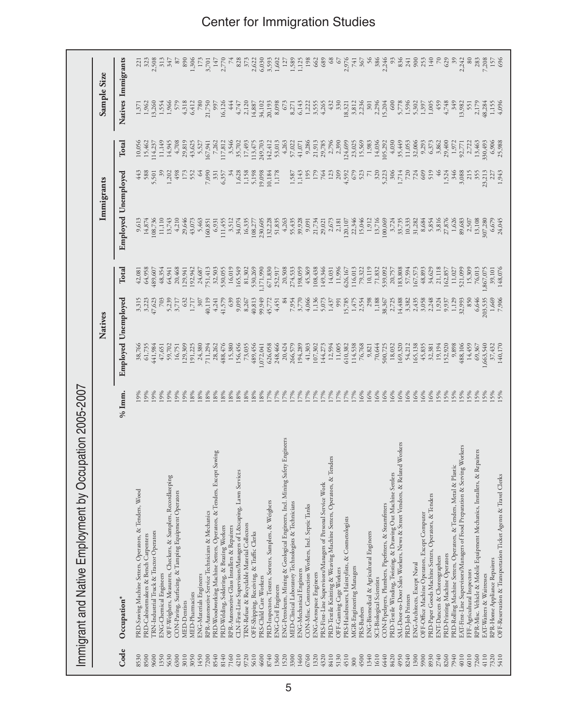|              | Immigrant and Native Employment by Occupation 2005-2007                                  |            |                            |                 |                   |                            |                        |                   |                    |                      |
|--------------|------------------------------------------------------------------------------------------|------------|----------------------------|-----------------|-------------------|----------------------------|------------------------|-------------------|--------------------|----------------------|
|              |                                                                                          |            | Natives                    |                 |                   | Immigrants                 |                        |                   | Sample Size        |                      |
| Code         | Occupation*                                                                              | $\%$ Imm.  | <b>Employed Unemployed</b> |                 | Total             | <b>Employed Unemployed</b> |                        | Total             | Natives Immigrants |                      |
| 8530         | PRD-Sawing Machine Setters, Operators, & Tenders, Wood                                   | 19%        | 38,766                     | 3,315           | 42,081            | 9,613                      | 443                    | 10,056            | 1,371              | 221                  |
| 8500         | PRD-Cabinetmakers & Bench Carpenters                                                     | 19%        | 61,735                     | 3,223<br>47,623 | 64,958            | 14,874                     | 588                    | 15,462            | 1,962              | 323                  |
| 9600         | TRN-Industrial Truck & Tractor Operators                                                 | 19%        | 441,984                    |                 | 489,607           | 108,736                    | 5,501                  | 114,237           | 13,260             | 2,508                |
| 1350         | ENG-Chemical Engineers                                                                   | 19%        | 47,651                     | 703             | 48,354            | 11,110                     | $\frac{39}{2}$         | 11,149            | 1,554              | 313                  |
| 5630         | OFF-Weighers, Measurers, Checkers, & Samplers, Recordkeeping                             | 19%        | 59,702                     | 5,239           | 64,941            | 13,743                     | 1,202                  | 14,945            | 1,966              | 347                  |
| 6300<br>3010 | CON-Paving, Surfacing, & Tamping Equipment Operators<br>MED-Dentists                     | 19%<br>19% | 16,751<br>129,309          | 3,717<br>632    | 20,468<br>129,941 | 4,210<br>29,646            | 498<br>173             | 29,819<br>4,708   | 579<br>4,318       | 890<br>$\frac{8}{2}$ |
| 3050         | MED-Pharmacists                                                                          | 18%        | 191,225                    | 1,717           | 192,942           | 43,073                     | 552                    | 43,625            | 6,412              | 1,306                |
| 1450         | ENG-Materials Engineers                                                                  | 18%        | 24,380                     | 307             | 24,687            | 5,463                      | 64                     | 5,527             | 780                | 173                  |
| 7200         | RPR-Automotive Service Technicians & Mechanics                                           | 18%        | 711,294                    | 40,119          | 751,413           | 160,851                    | 7,090                  | 167,941           | 21,750             | 3,701                |
| 8540         | PRD-Woodworking Machine Setters, Operators, & Tenders, Except Sawing                     | 18%        | 28,262                     | 4,241           | 32,503            | 6,931                      | 331                    | 7,262             | 997                | 147                  |
| 8140<br>7160 | PRD-Welding, Soldering, & Brazing Workers<br>RPR-Automotive Glass Installers & Repairers | 18%<br>18% | 488,476<br>15,380          | 639<br>41,579   | 530,055<br>16,019 | 111,455<br>3,512           | 6,357                  | 117,812<br>3,546  | 16,126<br>44       | 2,770<br>Ķ           |
| 4210         | CLN-First-Line Supervisors/Managers of L&scaping, Lawn Services                          | 18%        | 156,456                    | 9,093           | 165,549           | 34,074                     | 1,628                  | 35,702            | 4,747              | 828                  |
| 9720         | TRN-Refuse & Recyclable Material Collectors                                              | 18%        | 73,035                     | 8,267           | 81,302            | 16,335                     | 1,158                  | 17,493            | 2,120              | 373                  |
| 5610         | OFF-Shipping, Receiving, & Traffic Clerks                                                | 18%        | 489,456                    | 40,813          | 530,269           | 108,277                    | 5,198                  | 113,475           | 14,887             | 2,622                |
| 4600         | PRS-Child Care Worker                                                                    | $8\%$      | 1,072,041                  | 99,949          | ,171,990          | 230,605                    | 19,098                 | 249,703           | 34,102             | 6,030                |
| 8740         | PRD-Inspectors, Testers, Sorters, Samplers, & Weighers                                   | 17%        | 626,058                    | 45,772          | 671,830           | 132,228                    | 10,184                 | 142,412           | 20,193             | 3,593                |
| 1360         | ENG-Civil Engineers                                                                      | 17%        | 248,466                    | 4,451           | 252,917           | 51,835                     | 1,178                  | 53,013            | 8,098              | 1,602                |
| 1520         | ENG-Petroleum, Mining & Geological Engineers, Incl. Mining Safety Engineers              | 17%        | 20,424                     | 84              | 20,508            | 4,263                      |                        | 4,263             | 673                | 127                  |
| 3300         | MED-Clinical Laboratory Technologists & Technicians                                      | 17%        | 266,579                    | 7,954           | 274,533           | 55,435                     | 1,587                  | 57,022            | 8,271              | 1,589                |
| 1460<br>6760 | CON-Misc. Construction Workers, Incl. Septic Tanks<br>ENG-Mechanical Engineers           | 17%<br>7%  | 194,289<br>41,303          | 3,770<br>4,066  | 198,059<br>45,369 | 39,928<br>9,091            | 1,143<br>195           | 9,286<br>$41,071$ | 6,143<br>1,222     | 198<br>1,125         |
| 1320         | ENG-Aerospace Engineers                                                                  | 17%        | 107,302                    | 1,136           | 108,438           | 21,734                     | 179                    | 21,913            | 3,555              | 662                  |
| 4320         | PRS-First-Line Supervisors/Managers of Personal Service Work                             | 17%        | 144,273                    | 5,073           | 149,346           | 29,021                     | 764                    | 29,785            | 4,265              | 689                  |
| 8410         | PRD-Textile Knitting & Weaving Machine Setters, Operators, & Tender.                     | 17%        | 12,594                     | 1,437           | 14,031            | 2,673                      | 123                    | 2,796             | 432                | 68                   |
| 5130         | OFF-Gaming Cage Workers                                                                  | 17%        | 11,005                     | 991             | 11,996            | 2,181                      | 209                    |                   | 330                | $\sqrt{67}$          |
| 4510         | PRS-Hairdressers, Hairstylists, & Cosmetologists                                         | 17%        | 610,382                    | 15,785          | 626,167           | 120,107                    | 4,592                  | 2,390<br>124,699  | 18,321             | 2,976                |
| 300          | MGR-Engineering Managers                                                                 | 17%        | 114,538                    | 1,475           | 116,013           | 22,346                     | 679                    | 23,025            | 3,812              | 741                  |
| 4500         | PRS-Barbers                                                                              | 16%        | 76,768                     | 2,554           | 79,322            | 15,046                     | 523                    | 15,569            | 2,236              | 367                  |
| 1340<br>1610 | ENG-Biomedical & Agricultural Engineers<br>SCI-Biological Scientists                     | 16%<br>16% | 70,644<br>9,821            | 298<br>1,188    | 10,119<br>71,832  | 1,912<br>13,716            | 320<br>$\overline{2}$  | 1,983<br>14,036   | 301<br>2,296       | 56<br>386            |
| 6440         | CON-Pipelayers, Plumbers, Pipefitters, & Steamfitters                                    | 16%        | 500,725                    | 38,367          | 539,092           | 100,069                    | 5,223                  | 105,292           | 15,204             | 2,246                |
| 8420         | PRD-Textile Winding, Twisting, & Drawing Out Machine Settlers                            | 16%        | 18,032                     | 2,725           | 20,757            | 3,724                      | 306                    | 4,030             | 600                | 93                   |
| 4950         | SAL-Door-to-Door Sales Workers, News & Street Vendors, & Related Workers                 | 16%        | 169,320                    | 14,488          | 183,808           | 33,735                     | 1,714                  | 35,449            | 5,778              | 836                  |
| 8240         | PRD-Job Printers                                                                         | 16%        | 54,212                     | 3,382           | 57,594            | 10,333                     | 720                    | 11,053            | 1,596              | 241                  |
| 1300         | ENG-Architects, Except Naval                                                             | 16%        | 165,138                    | 2,435           | 167,573           | 31,282                     | 724                    | 32,006            | 5,302              | 900                  |
| 5900         | OFF-Office Machine Operators, Except Computer                                            | 16%<br>16% | 45,835                     | 3,058           | 48,893            | 8,684                      | 609<br>519             | 9,293             | 1,397              | 253                  |
| 8930         | PRD-Paper Goods Machine Setters, Operators, & Tenders                                    |            | 32,381                     | 2,248           | 34,629            | 5,854                      |                        | 6,373             | 1,005              | 140                  |
| 2740<br>8260 | PRD-Printing Machine Operators<br>ENT-Dancers & Choreographers                           | 15%<br>15% | 19,194<br>152,920          | 1,924<br>9,937  | 21,118<br>162,857 | 3,816                      | $\frac{6}{5}$<br>1,524 | 3,862<br>29,400   | 459<br>4,748       | $\approx$<br>629     |
| 7940         | PRD-Rolling Machine Setters, Operators, & Tenders, Metal & Plastic                       | 15%        | 9,898                      | 1,129           | 11,027            | 27,876<br>1,626            | 346                    | 1,972             | 349                | $\frac{3}{9}$        |
| 4010         | EAT-First-Line Supervisors/Managers of Food Preparation & Serving Workers                | 15%        | 488,106                    | 32,993          | 521,099           | 89,683                     | 3,088                  | 92,771            | 13,982             | 2,242                |
| 6010         | FFF-Agricultural Inspectors                                                              | 5%         | 14,459                     | 850             | 15,309            | 2,507                      | 215                    | 2,722             | 551                | 80                   |
| 7260         | RPR-Misc. Vehicle & Mobile Equipment Mechanics, Installers, & Repairers                  | 15%        | 69,367                     | 6,646           | 76,013            | 13,108<br>307,280          | 355                    | 13,463<br>330,493 | 2,179              | 283                  |
| 4110         | EAT-Waiters & Waitresses                                                                 | 15%        | 1,663,540                  | 203,535         | 1,867,075         |                            | 23,213                 |                   | 48,284             | 7,208                |
| 7320         | RPR-Home Appliance Repairers                                                             | 15%        | 37,432                     | 1,669           | 39,101            | 6,679                      | 227                    | 6,906             | 1,155              | 157                  |
| 5410         | OFF-Reservation & Transportation Ticket Agents & Travel Clerks                           | 15%        | 140,170                    | 7,906           | 148,076           | 24,045                     | 1,943                  | 25,988            | 4,096              | 696                  |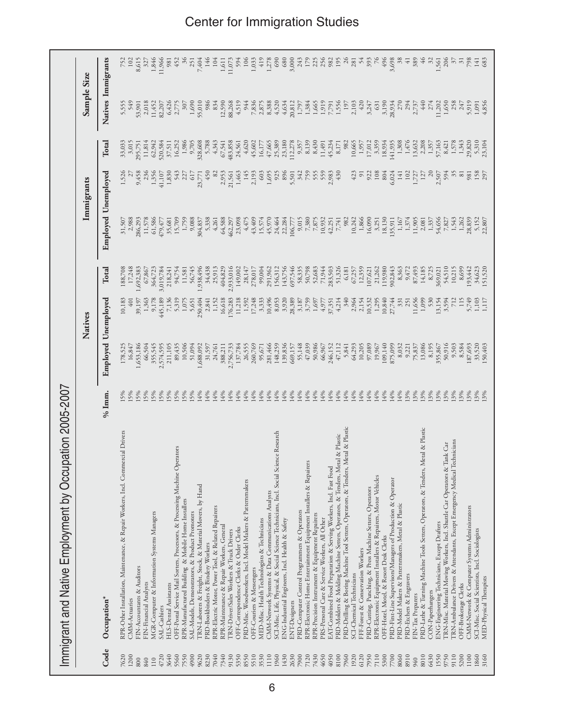|              | ation 2005-2007<br>Immigrant and Native Employment by Occup                                                        |             |                            |                  |                     |                            |                       |                    |                    |                       |
|--------------|--------------------------------------------------------------------------------------------------------------------|-------------|----------------------------|------------------|---------------------|----------------------------|-----------------------|--------------------|--------------------|-----------------------|
|              |                                                                                                                    |             |                            | Natives          |                     |                            | Immigrants            |                    | Sample Size        |                       |
| Code         | Occupation*                                                                                                        | $\%$ Imm.   | <b>Employed Unemployed</b> |                  | Total               | <b>Employed Unemployed</b> |                       | Total              | Natives Immigrants |                       |
| 7620         | RPR-Other Installation, Maintenance, & Repair Workers, Incl. Commercial Drivers                                    |             | 178,525                    | 10,183           | 188,708             | 31,507                     | 1,526                 | 33,033             | 5,555              | 752                   |
| 1200         | CMM-Actuaries                                                                                                      |             | 16,847                     |                  | 17,248              | 2,988                      |                       | 3,015              |                    | 102                   |
| 800<br>840   | FIN-Accountants & Auditors                                                                                         | 5%<br>5%    | ,653,186                   | 39,197           | ,692,383            | 286,293                    | 9,458                 | 295,751            | 53,901             | 8,615                 |
| 110          | MGR-Computer & Information Systems Managers<br>FIN-Financial Analysts                                              | 5%          | 66,504<br>355,545          | 9,178<br>1,363   | 364,723<br>67,867   | 11,578<br>61,586           | 236<br>1,356          | $11,814$<br>62,942 | 2,018<br>11,452    | 1,846<br>327          |
| 4720         | SAL-Cashiers                                                                                                       | 5%          | 2,574,595                  | 445,189          | 3,019,784           | 479,477                    | 41,107                | 520,584            | 82,207             | 11,966                |
| 3640         | <b>HLS-Dental Assistants</b>                                                                                       | 5%          | 211,105                    | 7,136            | 218,24              | 35,681                     | 1,830                 | 37,511             | 6,426              | 981                   |
| 5560         | OFF-Postal Service Mail Sorters, Processors, & Processing Machine Operators                                        | 5%          | 89,435                     | 5,319            | 94,754              | 15,709                     | 543                   | 16,252             | 2,775              | 452                   |
| 7550         | RPR-Manufactured Building & Mobile Home Installers                                                                 | 5%          | 10,506                     | 1,075            | 11,581              | 1,759                      | 227                   | 1,986              | 30 <sub>7</sub>    | $\frac{36}{5}$        |
| 4900<br>9620 | TRN-Laborers & Freight, Stock, & Material Movers, by Hand<br>SAL-Models, Demonstrators, & Product Promoters        | 5%<br>$4\%$ | 51,094<br>1,688,092        | 250,404<br>5,651 | 1,938,496<br>56,745 | 9,088<br>304,837           | 617<br>23,771         | 328,608<br>9,705   | 1,690<br>55,010    | 7,404<br>251          |
| 8230         | PRD-Bookbinders & Bindery Workers                                                                                  | 4%          | 31,597                     | 2,841            | 34,438              | 5,338                      | 450                   | 5,788              | 986                | 146                   |
| 7040         | RPR-Electric Motor, Power Tool, & Related Repairers                                                                | $4\%$       | 24,761                     | 1,152            | 25,913              | 4,261                      | $\infty$              | 4,343              | 834                | 104                   |
| 7340         | RPR-Maintenance & Repair Workers, General                                                                          | $4\%$       | 388,211                    | 16,618           | 404,829             | 64,588                     | 2,953                 | 67,541             | 12,590             | 1,611                 |
| 9130         | TRN-Driver/Sales Workers & Truck Drivers                                                                           | $4\%$       | 2,756,733                  | 176,283          | 2,933,016           | 462,297                    | 21,561                | 483,858            | 88,268             | 11,073                |
| 5350<br>8550 | PRD-Misc. Woodworkers, Incl. Model Makers & Patternmakers<br>OFF-Correspondence Clerks & Order Clerks              | 4%<br>4%    | 137,784                    | 11,218           | 149,002             | 23,098                     | 1,463                 | 4,620<br>24,561    | 4,519<br>944       | 106<br>594            |
| 5510         | OFF-Couriers & Messengers                                                                                          | $4\%$       | 26,555<br>260,769          | 1,592<br>17,248  | 28,147<br>278,017   | 4,475<br>43,409            | 145<br>2,193          | 45,602             | 7,836              | 1,033                 |
| 3530         | MED-Misc. Health Technologists & Technicians                                                                       | 4%          | 95,671                     | 3,333            | 99,004              | 15,574                     | 603                   | 16,177             | 2,875              | 419                   |
| 1110         | CMM-Network Systems & Data Communications Analysts                                                                 | 4%          | 281,466                    | 10,496           | 291,962             | 45,970                     | 1,695                 | 47,665             | 8,388              | 1,278                 |
| 1960         | SCI-Misc. Life, Physical, & Social Science Technicians, Incl. Social Science Research                              | 4%          | 148,259                    | 8,053            | 156,312             | 24,464                     | 925                   | 25,389             | 4,520              | 690                   |
| 1430         | ENG-Industrial Engineers, Incl. Health & Safety                                                                    | 4%          | 139,836                    | 3,920            | 143,756             | 22,284                     | 896                   | 23,180             | 4,634              | 680                   |
| 2630         | ENT-Designers                                                                                                      | $4\%$       | 669,157                    | 28,389           | 697,546             | 106,777                    | 5,501                 | 112,278            | 20,812             | 3,000<br>243          |
| 7900<br>7120 | RPR-Electronic Home Entertainment Equipment Installers & Repairers<br>PRD-Computer Control Programmers & Operators | 4%<br>4%    | 47,039<br>55,148           | 3,187<br>3,759   | 58,335<br>50,798    | 7,380<br>9,015             | 759<br>342            | 8,139<br>9,357     | 1,384<br>1,797     | 179                   |
| 7430         | RPR-Precision Instrument & Equipment Repairers                                                                     | $4\%$       | 50,986                     | 1,697            | 52,683              | 7,875                      | 555                   | 8,430              | 1,665              | 225                   |
| 4650         | PRS-Personal Care & Service Workers, All Other                                                                     | 4%          | 66,967                     | 4,977            | 71,944              | 10,932                     | 559                   | 11,491             | 1,919              | 256                   |
| 4050         | EAT-Combined Food Preparation & Serving Workers, Incl. Fast Food                                                   | 4%          | 246,152                    | 37,351           | 283,503             | 42,251                     | 2,983                 | 45,234             | 7,791              | 982                   |
| 8100         | PRD-Molders & Molding Machine Setters, Operators, & Tenders, Metal & Plastic                                       | 4%          | 47,112                     | 4,214            | 51,326              | 7,741                      | 430                   | 8,171              | 1,556              | 195                   |
| 7960         | PRD-Drilling & Boring Machine Tool Setters, Operators, & Tenders, Metal & Plastic                                  | 4%          | 5,841                      | 340              | 6,181               | 982                        |                       | 982                | 197                | 26                    |
| 1920<br>6120 | FFF-Forest & Conservation Workers<br>SCI-Chemical Technicians                                                      | $4\%$<br>4% | 10,205<br>64,293           | 2,154<br>2,964   | 12,359<br>67,257    | 1,866<br>10,242            | 423<br>$\overline{5}$ | 10,665<br>1,957    | 420<br>2,103       | 54<br>281             |
| 7950         | PRD-Cutting, Punching, & Press Machine Setters, Operators                                                          | 4%          | 97,089                     | 10,532           | 107,621             | 16,090                     | 922                   | 17,012             | 3,247              | 393                   |
| 7110         | RPR-Electronic Equipment Installers & Repairers, Motor Vehicles                                                    | $4\%$       | 19,967                     | 1,295            | 21,262              | 3,251                      | 108                   | 3,359              | 631                | $\frac{5}{2}$         |
| 5300         | OFF-Hotel, Motel, & Resort Desk Clerks                                                                             | 4%          | 109,140                    | 10,840           | 119,980             | 18,130                     | 804                   | 18,934             | 3,190              | 496                   |
| 7700         | PRD-First-Line Supervisors/Managers of Production & Operator                                                       | 4%          | 875,099                    | 27,744           | 902,843             | 135,911                    | 6,024                 | 141,935            | 28,934             | 3,698                 |
| 8060         | PRD-Model Makers & Patternmakers, Metal & Plastic                                                                  | 4%          | 8,032                      | 331              | 8,363               | 1,167                      | 141                   | 1,308              | 270                | 38                    |
| 8910<br>940  | PRD-Etchers & Engravers<br>FIN-Tax Preparers                                                                       | 3%<br>3%    | 75,837<br>9,221            | 11,656<br>251    | 9,472<br>87,493     | 1,374                      | 102<br>,727           | 1,476<br>13,632    | 294                | 389<br>$\overline{+}$ |
| 8010         | etal & Plastic<br>PRD-Lathe & Turning Machine Tools Setters, Operators, & Tenders, M                               | .3%         | 13,086                     | 1,099            | 14,185              | 11,905<br>2,081            | 127                   | 2,208              | 440<br>2,737       | $\frac{46}{5}$        |
| 6430         | CON-Paperhangers                                                                                                   | 3%          | 8,195                      | 530              | 8,725               | 1,337                      | $\overline{c}$        | 1,357              | 274                | $\frac{3}{2}$         |
| 1550         | ENG-Engineering Technicians, Except Drafters                                                                       | 3%          | 355,867                    | 13,154           | 369,021             | 54,656                     | 2,507                 | 57,163             | 11,202             | 1,561                 |
| 9750         | TRN-Misc. Material Moving Workers, Incl. Shuttle Car Operators & Tank Car                                          | 3%          | 50,916                     | 3,594            | 54,510              | 7,827                      | 594                   | 8,421              | 1,650              | 206                   |
| 9110         | TRN-Ambulance Drivers & Attendants, Except Emergency Medical Technicians                                           | 3%          | 9,503                      | 712              | 10,215              | 1,543                      | $\frac{35}{81}$       | 1,578              | 258                | $\frac{2}{3}$         |
| 5200<br>1100 | CMM-Network & Computer Systems Administrators<br>OFF-Brokerage Clerks                                              | 3%<br>3%    | 187,693<br>8,584           | 115<br>5,749     | 8,699<br>193,442    | 28,839<br>1,262            | 981                   | 29,820<br>1,343    | 5,919<br>247       | 798<br>$\overline{5}$ |
| 1860         | SCI-Misc. Social Scientists, Incl. Sociologists                                                                    | 3%          | 33,520                     | 1,103            | 34,623              | 5,152                      | 158                   | 5,310              | 1,091              | 141                   |
| 3160         | <b>MED-Physical Therapists</b>                                                                                     | 13%         | 150,403                    | 1,117            | 151,520             | 22,807                     | 297                   | 23,104             | 4,856              | 683                   |
|              |                                                                                                                    |             |                            |                  |                     |                            |                       |                    |                    |                       |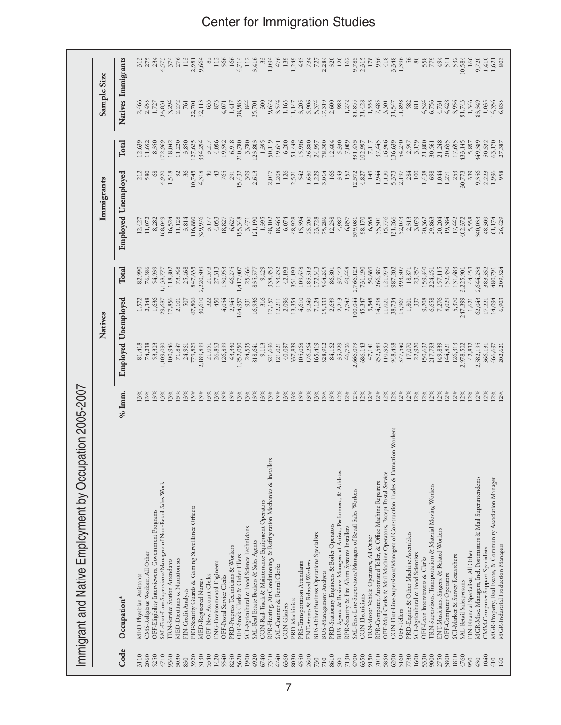|              | Immigrant and Native Employment by Occupation 2005-2007                                        |            |                            |                   |                      |                            |                 |                    |                                                          |                                  |
|--------------|------------------------------------------------------------------------------------------------|------------|----------------------------|-------------------|----------------------|----------------------------|-----------------|--------------------|----------------------------------------------------------|----------------------------------|
|              |                                                                                                |            |                            | Natives           |                      | Immigrants                 |                 |                    | Sample Size                                              |                                  |
| Code         | $O$ ccupation*                                                                                 | $\%$ Imm.  | <b>Employed Unemployed</b> |                   | Total                | <b>Employed Unemployed</b> |                 | Total              | Natives Immigrants                                       |                                  |
| 3110         | MED-Physician Assistants                                                                       | 13%        | 81,418                     | 1,572             | 82,990               | 12,427                     |                 | 12,639             | 2,466<br>2,455                                           | 313                              |
| 2060         | CMS-Religious Workers, All Other                                                               | 13%        | 74,238                     | 2,348             | 76,586               | 11,072                     | 580             | 11,652             |                                                          | 275                              |
| 5250         | OFF-Eligibility Interviewers, Government Programs                                              | 13%        | 53,303                     | 1,636             | 54,939               | 8,282                      |                 | 8,350              | 1,727                                                    | 234                              |
| 4710<br>9360 | SAL-First-Line Supervisors/Managers of Non-Retail Sales Work<br>TRN-Service Station Attendants | 13%        | 1,109,090                  | 17,856<br>29,687  | 118,802<br>1,138,777 | 168,049<br>16,524          | 4,920<br>1,518  | 172,969            | 34,831<br>3,294                                          | 4,573<br>374                     |
| 3030         | MED-Dietitians & Nutritionists                                                                 | 13%<br>13% | 100,946<br>71,847          | 2,101             | 73,948               | 11,128                     | $\mathfrak{S}$  | 11,220<br>18,042   | 2,272                                                    | 276                              |
| 830          | FIN-Credit Analysts                                                                            | 13%        | 24,961                     | 507               | 25,468               | 3,814                      |                 | 3,850              | 761                                                      | 113                              |
| 3920         | PRT-Security Guards & Gaming Surveillance Officers                                             | 13%        | 779,829                    | 67,806            | 847,635              | 116,880                    | 10,745          | 127,625            | 22,701                                                   | 2,981                            |
| 3130         | MED-Registered Nurses                                                                          | 13%        | 2,189,899                  | 30,610            | 2,220,509            | 329,976                    | 4,318           | 334,294            | 72,113                                                   | 9,664                            |
| 5340<br>1420 | ENG-Environmental Engineers<br>OFF-New Account Clerks                                          | 13%<br>13% | 26,863<br>21,051           | 450<br>322        | 27,313<br>21,373     | 4,053<br>3,177             | 43              | 4,096<br>3,217     | 873<br>633                                               | $\frac{8}{2}$<br>$\frac{112}{2}$ |
| 5540         | OFF-Postal Service Clerks                                                                      | 13%        | 126,899                    | 4,054             | 130,953              | 18,827                     | 765             | 19,592             | 4,071                                                    | 566                              |
| 8250         | PRD-Prepress Technicians & Workers                                                             | 3%         | 43,330                     | 2,945             | 46,275               | 6,627                      | 291             | 6,918              | 1,417                                                    | 166                              |
| 5620         | OFF-Stock Clerks & Order Fillers                                                               | 13%        | 1,252,050                  | 164,957           | 1,417,007            | 195,348                    | 15,432          | 210,780            | 38,983                                                   | 4,714                            |
| 1900<br>4920 | SCI-Agricultural & Food Science Technicians<br>SAL-Real Estate Brokers & Sales Agents          | 13%<br>13% | 24,535                     | 931               | 25,466               | 3,471                      | 309             | 3,780              | 844<br>25,701                                            | 112                              |
| 6740         | CON-Rail-Track & Maintenance Equipment Operators                                               | 13%        | 9,113<br>818,641           | 16,936<br>316     | 9,429<br>835,577     | 121,190<br>1,395           | 2,613           | 123,803<br>1,395   | 300                                                      | 3,416<br>$\frac{3}{2}$           |
| 7310         | RPR-Heating, Air Conditioning, & Refrigeration Mechanics & Installers                          | 3%         | 321,696                    | 17,157            | 338,853              | 48,102                     | 2,017           | 50,119             | 9,672                                                    | 1,094                            |
| 4740         | SAL-Counter & Rental Clerks                                                                    | 13%        | 121,021                    | 12,211            | 133,232              | 18,463                     | 1,208           | 19,671             | 3,574                                                    | 476                              |
| 6360         | CON-Glaziers                                                                                   | 13%        | 40,097                     | 2,096             | 42,193               | 6,074                      | 126             | 6,200              | 1,165                                                    | 139                              |
| 8030         | PRD-Machinists                                                                                 | 13%        | 337,839                    | 13,354            | 351,193              | 48,928                     | 2,521           | 51,449             | 11,147                                                   | 1,249                            |
| 4550<br>2600 | ENT-Artists & Related Workers<br>PRS-Transportation Attendants                                 | 13%<br>3%  | 105,068<br>176,264         | 4,610<br>9,249    | 109,678<br>185,513   | 15,394<br>25,200           | 1,680<br>542    | 15,936<br>26,880   | 3,205<br>5,906                                           | 433<br>734                       |
| 730          | <b>BUS-Other Business Operations Specialists</b>                                               | 13%        | 165,419                    | 7,124             | 172,543              |                            | 1,229           |                    | 5,374                                                    | 727                              |
| 710          | BUS-Management Analysts                                                                        | 13%        | 528,912                    | 15,333            | 544,245              | 23,728                     | 3,014           | 24,957<br>78,300   | 17,319                                                   | 2,284                            |
| 8610         | PRD-Stationary Engineers & Boiler Operators                                                    | 13%        | 84,162                     | 2,639             | 86,801               | 12,238                     | 166             | 12,404             | 2,600                                                    | 320                              |
| 500          | BUS-Agents & Business Managers of Artists, Performers, & Athletes                              | 12%        | 35,229                     | 2,213             | 37,442               | 4,987                      | 343             | 5,330              | 988                                                      | 120                              |
| 7130         | RPR-Security & Fire Alarm Systems Installers                                                   | 12%        | 46,706                     | 2,742             | 49,448               | 6,857                      | 152             | 7,009              | 1,272                                                    | 162                              |
| 4700<br>6350 | SAL-First-Line Supervisors/Managers of Retail Sales Workers<br>CON-Electricians                | 12%<br>12% | 2,666,079<br>686,143       | 100,044<br>45,347 | 2,766,123<br>731,490 | 98,170<br>379,081          | 12,372<br>4,827 | 391,453<br>102,997 | 81,855<br>21,428                                         | 9,783<br>2,315                   |
| 9150         | TRN-Motor Vehicle Operators, All Other                                                         | 12%        | 47,141                     | 3,548             | 50,689               | 6,968                      | 149             | 7,117              | 1,558                                                    | 178                              |
| 7010         | RPR-Computer, Automated Teller, & Office Machine Repairers                                     | 12%        | 252,589                    | 14,298            | 266,887              | 35,501<br>15,776           | 1,944           | 37,445<br>16,906   | 7,485                                                    | 956                              |
| 5850         | OFF-Mail Clerks & Mail Machine Operators, Except Postal Service                                | 12%<br>12% | 110,953                    | 11,021            | 121,974              |                            | 1,130           |                    | $\begin{array}{c} 3.301 \\ 31.547 \\ 11.898 \end{array}$ | $418$<br>3,348                   |
| 6200<br>5160 | CON-First-Line Supervisors/Managers of Construction Trades & Extraction Workers<br>OFF-Tellers | 12%        | 948,468                    | 38,734            | 987,202              | 131,266<br>52,073          | 5,373<br>2,197  | 136,639            |                                                          | 1,396                            |
| 7730         | PRD-Engine & Other Machine Assemblers                                                          | 12%        | 377,540<br>17,070          | 15,967<br>1,801   | 393,507<br>18,871    | 2,313                      | 284             | 54,270<br>2,597    | 582                                                      | 56                               |
| 1600         | SCI-Agricultural & Food Scientists                                                             | 12%        | 22,920                     | 337               | 23,257               | 3,079                      | 100             | 3,179              | 811                                                      | 80                               |
| 5330         | OFF-Loan Interviewers & Clerks                                                                 | 12%        | 150,632                    | 9,208             | 159,840              | 20,362                     | 1,438           | 21,800             | 4,524                                                    | 558                              |
| 9000         | TRN-Supervisors, Transportation & Material Moving Workers                                      | 12%        | 217,793                    | 6,658             | 224,451              | 29,863                     | 698             | 30,561             | 6,756                                                    | 779                              |
| 2750         | ENT-Musicians, Singers, & Related Workers                                                      | 12%        | 149,839                    | 7,276             | 157,115              | 20,204                     | 1,044           | 21,248             | 4,731                                                    | 494                              |
| 5800         | OFF-Computer Operators                                                                         | 12%        | 144,821                    | 8,029             | 152,850              | 19,384                     | 1,271           | 20,655             | 4,428                                                    | $\overline{511}$                 |
| 1810<br>4760 | SCI-Market & Survey Researchers<br>SAL-Retail Salespersons                                     | 12%<br>12% | 126,313                    | 5,370             | 131,683<br>3,225,901 | 17,442                     | 253             | 17,695<br>433,145  | 3,956<br>91,743                                          | 532                              |
| 950          | FIN-Financial Specialists, All Other                                                           | 2%         | 2,978,502<br>42,832        | 247,399<br>1,621  | 44,453               | 5,558<br>402,372           | 339<br>30,773   | 5,897              | 1,346                                                    | 10,584<br>166                    |
| 430          | MGR-Misc. Managers, Incl. Postmasters & Mail Superintendents                                   | 12%        | 2,582,195                  | 62,043            | 2,644,238            | 340,033                    | 9,356           | 349,389            | 83,349                                                   | 9,720                            |
| 1040         | CMM-Computer Support Specialists                                                               | 12%        | 366,131                    | 17,221            | 383,352              | 48,309                     | 2,223           | 50,532             | 11,035                                                   | 1,410                            |
| 410          | MGR-Property, Real Estate, & Community Association Manager                                     | 2%         | 466,697                    | 14,094            | 480,791              | 61,174                     | 1,996           | 63,170             | 14,356                                                   | 1,621                            |
| 140          | MGR-Industrial Production Managers                                                             | 12%        | 202,621                    | 6,903             | 209,524              | 26,429                     | 958             | 27,387             | 6,835                                                    | 803                              |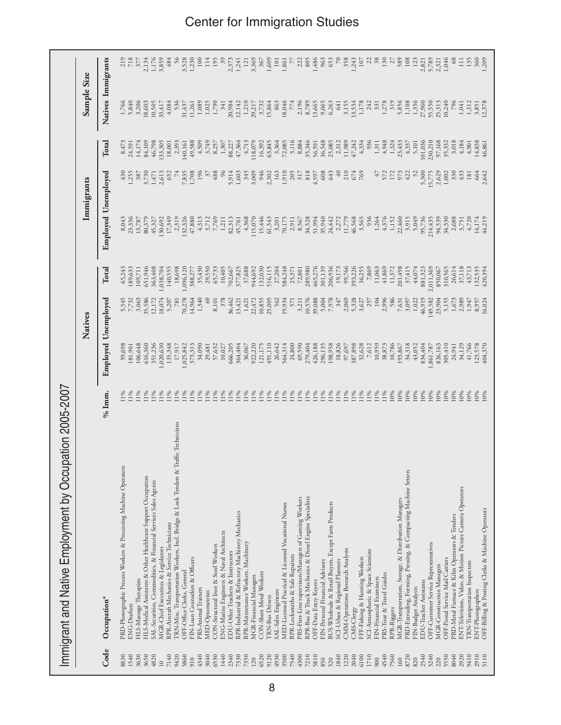|                 | ation 2005-2007<br>Immigrant and Native Employment by Occup                                                                    |            |                            |                   |                      |                            |                       |                    |                    |                  |
|-----------------|--------------------------------------------------------------------------------------------------------------------------------|------------|----------------------------|-------------------|----------------------|----------------------------|-----------------------|--------------------|--------------------|------------------|
|                 |                                                                                                                                |            |                            | Natives           |                      |                            | Immigrants            |                    | Sample Size        |                  |
| Code            | $O$ ccupation*                                                                                                                 | $%$ Imm.   | <b>Employed Unemployed</b> |                   | Total                | <b>Employed Unemployed</b> |                       | Total              | Natives Immigrants |                  |
| 8830            | PRD-Photographic Process Workers & Processing Machine Operators                                                                | 11%        | 59,698                     | 5,545<br>7,732    | 65,243               | 8,043                      |                       | 8,473              | 1,766              | 219              |
| 1540            | ENG-Drafters                                                                                                                   | 11%        | 181,901                    |                   | 189,633              | 23,336                     | 1,255                 | 24,591             | 5,840              | 718              |
| 3630            | HLS-Massage Therapists                                                                                                         | 11%        | 106,648                    | 3,063             | 109,711              | 13,787                     | 387                   | 14,174             | 3,206              | 377              |
| 3650<br>4820    | HLS-Medical Assistants & Other Healthcare Support Occupation<br>SAL-Securities, Commodities, & Financial Services Sales Agents | 11%<br>11% | 616,360                    | 35,586            | 651,946              | 80,379                     | 3,730<br>1,471        | 84,109             | 18,603<br>10,505   | 2,134            |
| $\overline{10}$ | MGR-Chief Executives & Legislators                                                                                             | 11%        | 351,236<br>,020,630        | 18,074<br>12,172  | 363,408<br>,038,704  | 130,692<br>45,327          | 2,613                 | 46,798<br>133,305  | 33,417             | 1,176<br>3,859   |
| 7140            | RPR-Aircraft Mechanics & Service Technicians                                                                                   | 11%        | 135,348                    | 5,207             | 140,555              | 17,349                     | 652                   | 18,001             | 4,084              | 484              |
| 9420            | TRN-Misc. Transportation Workers, Incl. Bridge & Lock Tenders & Traffic Technicians                                            | 11%        | 17,917                     | 781               | 18,698               | 2,319                      |                       | 2,393              | 536                | $\frac{2}{5}$    |
| 5860            | OFF-Office Clerks, General                                                                                                     | 11%        | 1,025,842                  | 70,278            | 1,096,120            | 132,326                    | 7,835                 | 140,161            | 31,437             | 3,528            |
| 4340<br>910     | FIN-Loan Counselors & Officers<br>PRS-Animal Trainers                                                                          | 11%<br>11% | 34,090<br>373,313          | 14,964<br>1,340   | 35,430<br>388,277    | 47,880<br>4,313            | 1,708<br>196          | 49,588<br>4,509    | 1,089<br>11,261    | 1,230<br>100     |
| 3040            | MED-Optometrists                                                                                                               | 11%        | 29,481                     | $\mathcal{S}$     | 29,550               | 3,712                      | $\mathcal{L}$         | 3,749              | 1,025              | 114              |
| 6530            | CON-Structural Iron & Steel Workers                                                                                            | 11%        | 57,632                     | 8,101             | 65,733               | 7,769                      | 488                   | 8,257              | 1,790              | 195              |
| 1440            | ENG-Marine Engineers & Naval Architects                                                                                        | 11%        | 10,027                     | 378               | 10,405               | 1,211                      | 96                    | $1,307$            | 341                | 39               |
| 2340            | EDU-Other Teachers & Instructors                                                                                               | 11%        | 666,205                    | 36,462            | 702,667              | 82,313                     | 5,914                 | 88,227             | 20,984             | 2,373            |
| 7330<br>7350    | RPR-Industrial & Refractory Machinery Mechanics<br>RPR-Maintenance Workers, Machinery                                          | 11%<br>11% | 364,404<br>36,067          | 1,621<br>13,421   | 377,825<br>37,688    | 4,368<br>45,761            | 1,603<br>345          | 4,713<br>47,364    | 1,210<br>12,142    | 1,241<br>121     |
| 120             | MGR-Financial Managers                                                                                                         | 11%        | 922,220                    | 22,472            | 944,692              | 115,070                    | 3,009                 | 118,079            | 29,217             | 3,369            |
| 6520            | CON-Sheet Metal Workers                                                                                                        | 11%        | 121,175                    | 10,855            | 132,030              | 15,446                     | 946                   | 16,392             | 3,732              | 367              |
| 9120            | TRN-Bus Drivers                                                                                                                | 11%        | 491,110                    | 25,005            | 516,115              | 61,543                     | 2,302                 | 63,845             | 15,864             | 1,609            |
| 4930            | SAL-Sales Engineers                                                                                                            | 11%        | 26,642                     | 562               | 27,204               | 3,201                      | 163                   | 3,364              | 863                | 101              |
| 3500            | MED-Licensed Practical & Licensed Vocational Nurses                                                                            | 11%        | 564,314                    | 19,934            | 584,248              | 70,175                     | 1,910                 | 72,085             | 18,046             | 1,861            |
| 7540<br>4300    | PRS-First-Line supervisors/Managers of Gaming Workers<br>RPR-Locksmiths & Safe Repairers                                       | 11%<br>11% | 24,800<br>69,590           | 3,211<br>571      | 25,371<br>72,801     | 2,911<br>8,567             | 205<br>317            | 3,116<br>8,884     | 774<br>2,196       | 222<br>F,        |
| 7210            | RPR-Bus & Truck Mechanics & Diesel Engine Specialists                                                                          | 11%        | 279,404                    | 10,576            | 289,980              | 34,528                     | 818                   | 35,346             | 8,789              | 805              |
| 5810            | OFF-Data Entry Keyers                                                                                                          | 11%        | 426,188                    | 39,088            | 465,276              | 51,994                     | 4,597                 | 56,591             | 13,665             | 1,486            |
| 850             | FIN-Personal Financial Advisors                                                                                                | 11%        | 296,135                    | 5,004             | 301,139              | 35,940                     | 608                   | 36,548<br>25,085   | 9,065              | 963              |
| 520             | BUS-Wholesale & Retail Buyers, Except Farm Products                                                                            | 11%        | 198,958                    | 7,978             | 206,936              | 24,442                     | 643                   |                    | 6,263              | 653              |
| 1840<br>1220    | CMM-Operations Research Analysts<br>SCI-Urban & Regional Planners                                                              | 11%<br>10% | 18,826<br>97,697           | 2,069<br>347      | 99,766<br>19,173     | 11,779<br>2,272            | $\mathfrak{D}$<br>210 | 2,312<br>11,989    | 3,155<br>641       | $\approx$<br>358 |
| 2040            | CMS-Clergy                                                                                                                     | 11%        | 387,898                    | 5,328             | 393,226              | 46,568                     | 674                   | 47,242             | 13,534             | 1,243            |
| 6100            | FFF-Fishing & Hunting Workers                                                                                                  | 11%        | 32,628                     | 3,627             | 36,255               | 3,565                      | 769                   | 4,334              | 1,178              | 107              |
| 1710            | SCI-Atmospheric & Space Scientists                                                                                             | 11%        | 7,612                      | 257               | 7,869                | 936                        |                       | 936                | 242                | $\overline{c}$   |
| 4540<br>900     | PRS-Tour & Travel Guides<br>FIN-Financial Examiners                                                                            | 11%<br>11% | 10,959<br>38,873           | 2,996<br>104      | 11,063<br>41,869     | 4,376<br>1,264             | 47<br>572             | 4,948<br>1,311     | 1,278<br>331       | $38\,$<br>130    |
| 7560            | RPR-Riggers                                                                                                                    | 10%        | 10,786                     | 586               | 11,372               | 1,152                      | 172                   | 1,324              | 319                | $\overline{27}$  |
| 160             | MGR-Transportation, Storage, & Distribution Managers                                                                           | 10%        | 193,867                    | 7,631             | 201,498              | 22,460                     | 973                   | 23,433             | 5,856              | 589              |
| 8720            | PRD-Extruding, Forming, Pressing, & Compacting Machine Setters                                                                 | $0\%$      | 34,318                     | 3,097             | 37,415               | 3,915                      | 422                   | 4,337              | 1,108              | 108              |
| 820             | FIN-Budget Analysts                                                                                                            | 10%        | 43,052                     | 1,022             | 44,074               | 5,049                      | $\tilde{5}$           | 5,101              | 1,356              | 123              |
| 2540<br>5240    | EDU-Teacher Assistants                                                                                                         | 10%<br>10% | 834,404                    | 46,919            | 881,323              | 95,736                     | 5,300                 | 101,036<br>230,210 | 27,960             | 5,789<br>2,821   |
| 220             | OFF-Customer Service Representatives<br>MGR-Construction Managers                                                              | $0\%$      | 826,163<br>1,861,787       | 149,582<br>23,904 | 2,011,369<br>850,067 | 94,539<br>214,435          | 2,629<br>15,775       | 97,168             | 55,550<br>25,313   | 2,321            |
| 5550            | OFF-Postal Service Mail Carriers                                                                                               | $0\%$      | 305,410                    | 5,155             | 310,565              | 34,330                     | 1,002                 | 35,332             | 10,240             | 1,046            |
| 8040            | PRD-Metal Furnace & Kilm Operators & Tenders                                                                                   | 10%        | 24,941                     | 1,673             | 26,614               | 2,688                      | 330                   | 3,018              | 796                | $\frac{8}{3}$    |
| 2920            | ENT-Television, Video, & Motion Picture Camera Operators                                                                       | $0\%$      | 34,129                     | 2,989             | 37,118               | 3,751                      | 433                   | 4,184              | 1,041              | $\Xi$            |
| 9410            | TRN-Transportation Inspectors                                                                                                  | 10%        | 41,766                     | 1,947             | 43,713               | 4,720                      | 181                   | 4,901              | 1,312              | 135              |
| 2910<br>5110    | OFF-Billing & Posting Clerks & Machine Operators<br>ENT-Photographers                                                          | 10%<br>10% | 123,578<br>404,370         | 16,024<br>8,957   | 132,535<br>420,394   | 44,219<br>14,174           | 2,642<br>664          | 14,838<br>46,861   | 12,378<br>3,851    | 360<br>1,209     |
|                 |                                                                                                                                |            |                            |                   |                      |                            |                       |                    |                    |                  |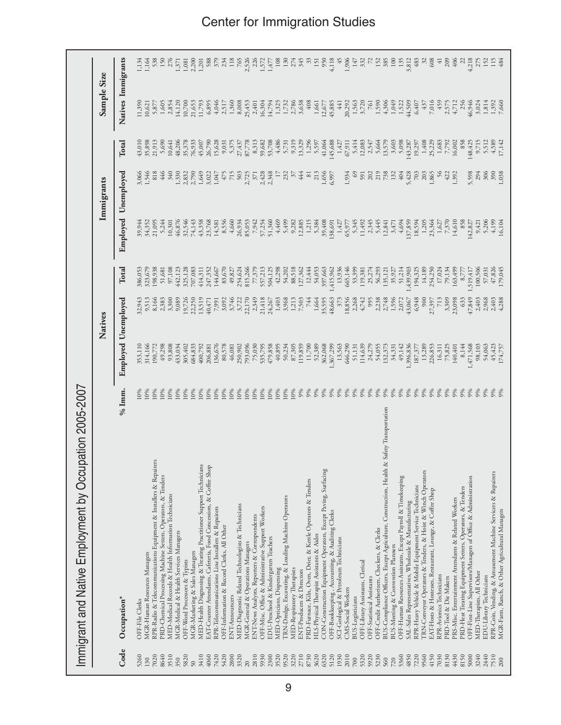|                 | Immigrant and Native Employment by Occupation 2005-2007                                                                                    |            |                            |                  |                     |                            |                  |                                                           |                    |                       |
|-----------------|--------------------------------------------------------------------------------------------------------------------------------------------|------------|----------------------------|------------------|---------------------|----------------------------|------------------|-----------------------------------------------------------|--------------------|-----------------------|
|                 |                                                                                                                                            |            |                            | Natives          |                     |                            | Immigrants       |                                                           | Sample Size        |                       |
| Code            | Occupation*                                                                                                                                | $%$ Imm.   | <b>Employed Unemployed</b> |                  | Total               | <b>Employed Unemployed</b> |                  | Total                                                     | Natives Immigrants |                       |
| 5260            | OFF-File Clerks                                                                                                                            | 10%        | 353,110                    | 32,943<br>9,513  | 386,053             | 39,944                     | 3,066            | 43,010                                                    | 11,390<br>10,621   | 1,134                 |
| 130             | MGR-Human Resources Managers                                                                                                               | 10%        | 314,166                    |                  | 323,679             | 34,352                     | 1,546            | 35,898<br>21,913                                          |                    | 1,164                 |
| 7020<br>8640    | RPR-Radio & Telecommunications Equipment & Installers & Repairers                                                                          | 10%<br>10% | 190,772                    | 8,166            | 198,938             | 21,095                     | 818              |                                                           | 5,877              | 538                   |
| 3510            | PRD-Chemical Processing Machine Setters, Operators, & Tenders<br>MED-Medical Records & Health Information Technicians                      | 10%        | 49,298<br>93,808           | 3,300<br>2,383   | 97,108<br>51,681    | 5,244<br>10,301            | 340<br>446       | 5,690<br>10,641                                           | 1,605<br>2,854     | 150<br>276            |
| 350             | MGR-Medical & Health Services Managers                                                                                                     | 10%        | 433,034                    | 9,089            | 442,123             | 46,876                     | 1,330            | 48,206                                                    | 14,120             |                       |
| 5820            | OFF-Word Processors & Typists                                                                                                              | 10%        | 305,402                    | 19,726           | 325,128             | 32,546                     | 2,832            | 35,378                                                    | 10,700             | $\frac{1,371}{1,081}$ |
| 50              | MGR-Marketing & Sales Managers                                                                                                             | 10%        | 684,833                    | 22,250           | 707,083             | 74,143                     | 2,790            | 76,933                                                    | 21,653             |                       |
| 3410            | MED-Health Diagnosing & Treating Practitioner Support Technicians                                                                          | 10%        | 400,792                    | 13,519           | 414,311             | 43,358                     | 1,649            | 45,007                                                    | 11,793             | 1,201                 |
| 4060<br>7420    | EAT-Counter Attendants, Cafeteria, Food Concession, & Coffee Shop<br>RPR-Telecommunications Line Installers & Repairers                    | 10%<br>10% | 206,881<br>136,676         | 40,471<br>7,991  | 247,352<br>144,667  | 23,768<br>14,581           | 3,022<br>1,047   | 26,790<br>15,628                                          | 4,046<br>6,895     | 588<br>379            |
| 5420            | OFF-Information & Record Clerks, All Other                                                                                                 | 10%        | 80,578                     | 3,092            | 83,670              | 8,556                      | 475              | 9,031                                                     | 2,517              | 234                   |
| 2800            | ENT-Announcers                                                                                                                             | 10%        | 46,081                     | 3,746            | 49,827              | 4,660                      | 715              | 5,375                                                     | 1,360              | 118                   |
| 3320            | MED-Diagnostic Related Technologists & Technicians                                                                                         | 10%        | 250,902                    | 3,722            | 254,624             | 26,934                     | 503              | 27,437<br>87,778                                          | 8,008              | 765                   |
| $\overline{20}$ | MGR-General & Operations Managers                                                                                                          | 10%        | 793,096                    | 22,170           | 815,266             | 85,053                     | 2,725            |                                                           | 25,453             | 2,526                 |
| 2810            | ENT-News Analysts, Reporters & Correspondents                                                                                              | 10%        | 75,030                     | 2,349            | 77,379              | 7,942                      | $\overline{371}$ | 8,313                                                     | 2,401              | 226                   |
| 5930<br>2300    | OFF-Misc. Office & Administrative Support Workers<br>EDU-Preschool & Kindergarten Teachers                                                 | 0%<br>10%  | 479,858<br>535,795         | 21,418<br>24,267 | 557,213<br>504,125  | 57,254<br>51,360           | 2,428<br>2,348   | 59,682<br>53,708<br>4,486                                 | 16,304<br>14,794   | $1,572$<br>$1,477$    |
| 3520            | MED-Opticians, Dispensing                                                                                                                  | 10%        | 40,895                     | 1,403            | 42,298              | 4,469                      | $\overline{a}$   |                                                           | 1,325              | 108                   |
| 9520            | TRN-Dredge, Excavating, & Loading Machine Operators                                                                                        | 10%        | 50,234                     | 3,968            | 54,202              | 5,499                      | 232              | 5,731                                                     | 1,732              | 130                   |
| 3220            | MED-Respiratory Therapists                                                                                                                 | 0%         | 87,305                     | 1,213            | 88,518              | 9,282                      | $\frac{37}{2}$   | 9,319                                                     | 2,786              | 274                   |
| 2710            | ENT-Producers & Directors                                                                                                                  | 9%         | 119,859                    | 7,503            | 127,362             | 12,885                     | 444              | 13,329                                                    | 3,638              | 345                   |
| 8730            | PRD-Furnace, Kiln, Oven, Drier, & Kettle Operators & Tenders                                                                               | 9%         | 11,700                     | 744              | 12,444              | 1,215                      | $\overline{8}$   | 1,296                                                     | 408                | 33                    |
| 3620            | HLS-Physical Therapist Assistants & Aides                                                                                                  | 9%         | 52,389                     | 1,664            | 54,053              | 5,384                      | 213              |                                                           | 1,661              | 151                   |
| 6320<br>5120    | CON-Construction Equipment Operators, Except Paving, Surfacing                                                                             | 9%<br>9%   | 362,068                    | 35,595<br>48,663 | ,415,962<br>397,663 | 39,408                     | 1,656<br>6,997   | $\begin{array}{c} 41,064 \\ 145,688 \\ 1,427 \end{array}$ | 45,885<br>12,677   | 4,118<br>950          |
| 1930            | OFF-Bookkeeping, Accounting, & Auditing Clerks<br>SCI-Geological & Petroleum Technicians                                                   | 9%         | 1,367,299<br>13,563        | 373              | 13,936              | $138,691$<br>$1,427$       |                  |                                                           | 441                | 45                    |
| 2010            | CMS-Social Workers                                                                                                                         | 9%         | 646,290                    | 18,856           | 665,146             | 65,977                     | 1,934            | 67,911                                                    | 20,292             | 1,906                 |
| 700             | <b>BUS-Logisticians</b>                                                                                                                    | 9%         | 51,131                     | 2,268            | 53,399              | 5,345                      | $\mathcal{S}$    | 5,414                                                     | 1,563              | 147                   |
| 5320            | OFF-Library Assistants, Clerical                                                                                                           | 9%         | 114,639                    | 4,742            | 119,381             | 11,492                     | 591<br>202       | $12,083$<br>$2,547$                                       | 3,720              | 332                   |
| 5920            | OFF-Statistical Assistants                                                                                                                 | 9%         | 24,279                     | 995              | 25,274              | 2,345                      |                  |                                                           | 761                | $\mathcal{L}$         |
| 5230<br>560     | Safety Transportation<br>BUS-Compliance Officers, Except Agriculture, Construction, Health &<br>OFF-Credit Authorizers, Checkers, & Clerks | 9%<br>9%   | 54,055<br>132,373          | 2,238<br>2,748   | 56,293<br>135,121   | 5,445<br>12,841            | 219<br>738       | 5,664                                                     | 1,590<br>4,306     | 152<br>385            |
| 720             | BUS-Meeting & Convention Planners                                                                                                          | 9%         | 34,331                     | 1,596            | 35,927              | 3,471                      | 132              | 13,579<br>3,603<br>5,098                                  | 1,049              | 100                   |
| 5360            | OFF-Human Resources Assistants, Except Payroll & Timekeeping                                                                               | 9%         | 49,142                     | 2,072            | 51,214              | 4,694                      | 404              |                                                           | 1,522              | 135                   |
| 4850            | SAL-Sales Representatives, Wholesale & Manufacturing                                                                                       | 9%         | 1,396,836                  | 43,067           | 1,439,903           | 137,859                    | 5,428            | 143,287                                                   | 44,509             | 3,812                 |
| 7220            | RPR-Heavy Vehicle & Mobile Equipment Service Technicians                                                                                   | 9%         | 187,377                    | 6,948            | 194,325             | 18,594                     | 703              | 19,297                                                    | 6,407              | 483                   |
| 9560<br>4150    | TRN-Conveyor Operators & Tenders, & Hoist & Winch Operators                                                                                | 9%<br>9%   | 13,289                     | 900              | 14,189              | 1,205                      | ,865<br>203      | 1,408                                                     | 437                | 608<br>$\mathfrak{D}$ |
| 7030            | EAT-Hosts & Hostesses, Restaurant, Lounge, & Coffee Shop<br>RPR-Avionics Technicians                                                       | 9%         | 226,853<br>16,311          | 713<br>27,397    | 254,250<br>17,024   | 23,364<br>1,627            | $\frac{2}{5}$    | 25,229<br>1,683                                           | 459<br>7,016       | $\pm$                 |
| 8130            | PRD-Tool & Die Makers                                                                                                                      | 9%         | 75,825                     | 3,309            | 79,134              | 7,370                      | 422              | 7,792                                                     | 2,575              | 209                   |
| 4430            | PRS-Misc. Entertainment Attendants & Related Workers                                                                                       | 9%         | 140,401                    | 23,098           | 163,499             | 14,610                     | 392              | 16,002                                                    | 4,712              | 406                   |
| 8150            | PRD-Heat Treating Equipment Setters, Operators, & Tenders                                                                                  | 9%         | 8,144                      | 633              | 8,77                | 858                        |                  | 858                                                       | 256                | $\tilde{z}$           |
| 5000            | OFF-First-Line Supervisors/Managers of Office & Administration                                                                             | 9%         | 1,471,568                  | 47,849           | 1,519,417           | 142,827                    | 5,598            | 148,425                                                   | 46,946             | 4,218                 |
| 3240            | MED-Therapists, All Other                                                                                                                  | 9%<br>9%   | 98,103<br>54,063           | 2,403            | 100,506<br>57,031   | 9,421                      | 294              | 9,715                                                     | 3,024              | 275<br>152            |
| 2440            | EDU-Library Technicians                                                                                                                    |            |                            | 2,968            |                     | 5,206                      | $306$<br>$390$   | 5,512                                                     | 1,814              |                       |
| 7510<br>200     | RPR-Coin, Vending, & Amusement Machine Servicers & Repairers<br>MGR-Farm, Ranch, & Other Agricultural Managers                             | 9%<br>9%   | 45,423<br>174,757          | 4,288<br>2,403   | 47,826<br>179,045   | 4,199<br>16,104            | 1,038            | 4,589<br>17,142                                           | 7,660<br>1,392     | 115<br>484            |
|                 |                                                                                                                                            |            |                            |                  |                     |                            |                  |                                                           |                    |                       |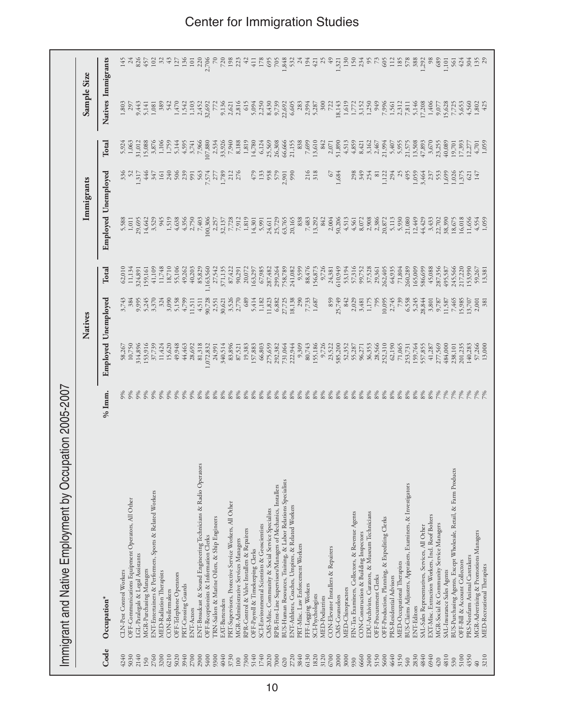|                | Immigrant and Native Employment by Occup                                                       | ation 2005-2007 |                            |                            |                    |                            |                |                  |                                   |                           |
|----------------|------------------------------------------------------------------------------------------------|-----------------|----------------------------|----------------------------|--------------------|----------------------------|----------------|------------------|-----------------------------------|---------------------------|
|                |                                                                                                |                 |                            | Natives                    |                    |                            | Immigrants     |                  | Sample Size                       |                           |
| Code           | Occupation*                                                                                    | $%$ Imm.        | <b>Employed Unemployed</b> |                            | Total              | <b>Employed Unemployed</b> |                | Total            | Natives Immigrants                |                           |
| 4240           | CLN-Pest Control Workers                                                                       | 60 <sup>6</sup> | 58,267                     | 3,743<br>384               | 62,010             | 5,588                      | 336            | 5,924            | 1,803                             | 145                       |
| 5030           | OFF-Communications Equipment Operators, All Other                                              | 9%              | 10,750                     |                            | 11,134             | 1,011                      |                | 1,063            | 297                               | $\widetilde{\mathcal{L}}$ |
| 2140           | LGL-Paralegals & Legal Assistants                                                              | 9%              | 314,896                    | 9,995                      | 324,891            | 29,695                     | 1,317          | 31,012           | 9,443                             | 826                       |
| 150            | MGR-Purchasing Managers                                                                        | 9%              | 153,916                    | 5,245                      | 159,161            | 14,642<br>3,529            | 446            | 15,088<br>3,876  | 5,141                             | 457                       |
| 2760           | ENT-Entertainers & Performers, Sports & Related Workers                                        | 9%              | 37,739                     |                            | 41,109             |                            | 347            |                  | 1,081                             | 102                       |
| 3200           | MED-Radiation Therapists                                                                       | 9%<br>9%        | 11,424                     | 324                        | 11,748             | 945                        | 161            | 1,106            | 389                               |                           |
| 6210<br>5020   | OFF-Telephone Operators<br>CON-Boilermakers                                                    | 9%              | 15,620<br>49,948           | 3,090                      | 18,710<br>55,106   | 1,519                      | 240<br>506     | 1,759<br>5,144   | 542                               | 127                       |
| 3940           | PRT-Crossing Guards                                                                            | 9%              | 44,463                     | 5,158<br>4,799             | 49,262             | 4,356<br>4,638             | 239            | 4,595            | 1,470<br>1,542                    | 136                       |
| 2700           | ENT-Actors                                                                                     | 9%              | 28,692                     | 11,511                     | 40,203             | 2,750                      | 991            | 3,741            | 1,103                             | 101                       |
| 2900           | ENT-Broadcast & Sound Engineering Technicians & Radio Operators                                | 8%              | 81,318                     | $4,511$<br>90,728<br>2,551 | 85,829             | 7,403                      | 563            | 7,966            | 2,452                             | 220                       |
| 5400           | OFF-Receptionists & Information Clerks                                                         | 8%              | 1,072,832                  |                            | 1,163,560          | 100,306                    | 7,574          | 107,880<br>2,534 | 32,692                            | 2,706                     |
| 9300           | TRN-Sailors & Marine Oilers, & Ship Engineers                                                  | $8\%$           | 24,991                     |                            | 27,542             | 2,257                      | 277            |                  | 772                               | $\approx$                 |
| 4040           | EAT-Bartenders                                                                                 | $8\%$           | 340,514                    | 30,621                     | 371,135            | 32,137                     | 1,789          | 33,926           | 9,136                             | 720                       |
| 3730<br>100    | PRT-Supervisors, Protective Service Workers, All Other<br>MGR-Administrative Services Managers | $8\%$<br>8%     | 83,896<br>87,521           | 3,526<br>2,770             | 87,422<br>90,291   | 7,728<br>7,912             | 212<br>276     | 7,940<br>8,188   | 2,621<br>2,816                    | 198<br>223                |
| 7300           | RPR-Control & Valve Installers & Repairers                                                     | 8%              | 19,383                     | 689                        | 20,072             | 1,819                      |                | 1,819            | 615                               | $\widetilde{t}$           |
| 5140           | OFF-Payroll & Timekeeping Clerks                                                               | $8\%$           | 157,883                    | 5,414                      | 163,297            | 14,301                     | 479            | 14,780           | 5,094                             | $\overline{411}$          |
| 1740           | SCI-Environmental Scientists & Geoscientists                                                   | $8\%$           | 66,803                     | 1,182                      | 67,985             | 5,991                      | 133            | 6,124            |                                   | 178                       |
| 2020           | CMS-Misc. Community & Social Service Specialists                                               | 8%              | 275,659                    | 11,823<br>6,882            | 287,482            | 24,611<br>25,729           | 958            | 25,569<br>26,308 | 2,250<br>8,430<br>9,739<br>22,692 | 695                       |
| 7000           | RPR-First-Line Supervisors/Managers of Mechanics, Installers                                   | 8%              | 292,382                    |                            | 299,264            |                            | 579            |                  |                                   | 705                       |
| 620            | BUS-Human Resources, Training, & Labor Relations Specialists                                   | $8\%$           | 731,064                    | 27,725                     | 758,789            | 63,765                     | 2,901          | 66,666           |                                   | 1,848                     |
| 2720           | ENT-Athletes, Coaches, Umpires, & Related Workers                                              | 8%              | 222,944                    | 18,138                     | 241,082            | 20,165                     |                | 21,155           | 6,605                             | 532                       |
| 3840           | PRT-Misc. Law Enforcement Workers                                                              | 8%              | 9,309                      | 290                        | 9,599              | 838                        |                | 838              | 283                               | $\widetilde{\mathcal{L}}$ |
| 6130<br>1820   | FFF-Logging Workers<br>SCI-Psychologists                                                       | 8%<br>$8\%$     | 155,186<br>80,743          | 7,733<br>1,687             | 88,476<br>156,873  | 7,483<br>13,292            | 216<br>318     | 7,699<br>13,610  | 2,994<br>5,287                    | 194<br>421                |
| 3120           | MED-Podiatrists                                                                                | 8%              | 9,726                      |                            | 9,726              | 842                        |                | 842              | 300                               |                           |
| 6700           | CON-Elevator Installers & Repairers                                                            | 8%              | 23,522                     |                            | 24,381             | 2,004                      | $\mathcal{L}$  |                  | 722                               | $49$                      |
| 2000           | CMS-Counselors                                                                                 | $8\%$           | 585,200                    | 859<br>25,749              | 610,949            | 50,206                     | 1,684          | 2,071<br>51,890  | 18,143                            | 1,321                     |
| 3000           | MED-Chiropractors                                                                              | $8\%$           | 52,352                     | 842                        | 53,194             | 4,513                      |                | 4,513            | 1,619                             | 130                       |
| 930            | FIN-Tax Examiners, Collectors, & Revenue Agents                                                | 8%              | 55,287                     | 2,029                      | 57,316             | 4,561                      | 298            | 4,859            | 1,772                             | 150                       |
| 6660<br>2400   | EDU-Archivists, Curators, & Museum Technicians<br>CON-Construction & Building Inspectors       | $8\%$<br>$8\%$  | 36,353<br>96,271           | 3,481<br>1,175             | 37,528<br>99,752   | 8,072<br>2,908             | 349<br>254     | 3,162<br>8,421   | 1,250<br>3,152                    | 234<br>$\frac{5}{2}$      |
| 5150           | OFF-Procurement Clerks                                                                         | $8\%$           | 28,566                     | 795                        | 29,361             | 2,386                      | $\overline{8}$ | 2,467            | 949                               |                           |
| 5600           | OFF-Production, Planning, & Expediting Clerks                                                  | $8\%$           | 252,310                    | 10,095                     | 262,405            | 20,872                     | 1,122          | 21,994           |                                   | 605                       |
|                | PRS-Residential Advisors                                                                       | 8%              | 62,190                     | 2,745                      | 64,935             | 5,113                      | 294            | 5,407            | 7,996<br>1,561<br>2,312           | $\frac{112}{2}$           |
| 4640<br>3150   | MED-Occupational Therapists                                                                    | $8\%$           | 71,065                     | 739                        | 71,804             | 5,930                      | 25             | 5,955            |                                   | 185                       |
| 540            | BUS-Claims Adjusters, Appraisers, Examiners, & Investigators                                   | $8\%$           | 253,731                    | 6,558                      | 260,289            | 21,080                     | 495            | 21,575           | 7,811                             | 578                       |
| 2830           | ENT-Editors                                                                                    | 8%              | 159,764                    | 5,245                      | 165,009            | 12,449                     | 1,059          | 13,508           |                                   | 388                       |
| 4840           | SAL-Sales Representatives, Services, All Other                                                 | $8\%$           | 557,855                    | $\frac{28,844}{3,801}$     | 586,699            | 44,429                     | 3,464          | 47,893           | 5,146<br>17,208<br>1,406          | 1,292                     |
| 6940           | EXT-Misc. Extraction Workers, Incl. Roof Bolters                                               | 8%              | 41,287                     |                            | 45,088             | 3,433                      | 237            | 3,670            |                                   | 98                        |
| 4810<br>420    | MGR-Social & Community Service Managers<br>SAL-Insurance Sales Agents                          | 7%<br>7%        | 277,569<br>484,000         | 9,787                      | 287,356<br>495,587 | 22,702<br>38,390           | 553<br>1,699   | 40,089<br>23,255 | 15,628<br>9,077                   | 689<br>1,101              |
|                | BUS-Purchasing Agents, Except Wholesale, Retail, & Farm Products                               | 7%              | 238,101                    | 11,587<br>7,465            | 245,566            | 18,675                     | 1,026          | 19,701           |                                   | 561                       |
| 530<br>5100    | OFF-Bill & Account Collectors                                                                  | $7\%$           | 201,235                    | 15,985                     | 217,220            | 16,018                     | 1,375          | 17,393           | 7,725<br>5,653                    | 424                       |
| 4350           | PRS-Nonfarm Animal Caretakers                                                                  | 7%              | 140,283                    | 13,707                     | 153,990            | 11,656                     | 621            | 12,27            | 4,560                             | 304                       |
| $\overline{6}$ | MGR-Advertising & Promotions Managers                                                          | 7%<br>7%        | 57,266                     | 2,001                      | 59,267             | 4,554                      | 147            | 4,701            | 1,802                             | 135                       |
| 3210           | MED-Recreational Therapists                                                                    |                 | 13,000                     | 381                        | 13,381             | 1,059                      |                | 1,059            | 425                               |                           |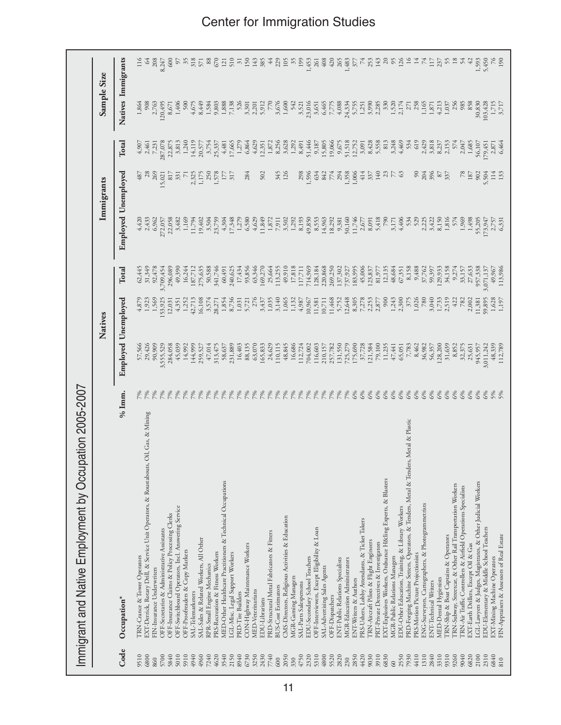|              | Immigrant and Native Employment by Occupation 2005-2007                                                  |               |                            |                   |                      |                     |                |                                                           |                    |                  |
|--------------|----------------------------------------------------------------------------------------------------------|---------------|----------------------------|-------------------|----------------------|---------------------|----------------|-----------------------------------------------------------|--------------------|------------------|
|              |                                                                                                          |               |                            | Natives           |                      |                     | Immigrants     |                                                           | Sample Size        |                  |
| Code         | Occupation*                                                                                              | $%$ Imm.      | <b>Employed Unemployed</b> |                   | Total                | Employed Unemployed |                | Total                                                     | Natives Immigrants |                  |
| 9510         | TRN-Crance & Tower Operators                                                                             |               | 57,566<br>29,426           | 4,879             | 62,445               | $4,420$<br>2,433    | 487            | 4,907                                                     | 1,864              | 116              |
| 6800         | EXT-Derrick, Rotary Drill, & Service Unit Operators, & Roustabouts, Oil, Gas, & Mining                   |               |                            | 1,923             | 31,349               |                     |                | 2,461                                                     | 908                | 64               |
| 860          | FIN-Insurance Underwriters                                                                               | 70/6          | 90,909                     | 1,569             | 92,478               | 6,962               | 269            | 7,231                                                     | 2,763              | 208              |
| 5700         | OFF-Secretaries & Administrative Assistants                                                              | $^{26}$       | 3,555,529                  | 153,925<br>12,031 | 3,709,454            | 272,057             | 15,021         | $\begin{array}{c} 287,078 \\ 22,875 \\ 3,813 \end{array}$ | 120,495            | 600<br>8,247     |
| 5840<br>5010 | OFF-Switchboard Operators, Incl. Answering Service<br>OFF-Insurance Claims & Policy Processing Clerks    | 7%<br>70/6    | 284,058<br>45,039          | 4,351             | 296,089<br>49,390    | 22,058<br>3,482     | 817<br>331     |                                                           | 1,406<br>8,671     |                  |
| 5910         | OFF-Proofreaders & Copy Markers                                                                          | 7%            | 14,992                     | 1,252             | 16,244               | 1,169               | E,             | 1,240                                                     | 500                | 35<br>$\sqrt{6}$ |
| 4940         | SAL-Telemarketers                                                                                        |               | 144,999                    | 42,713            | 187,712              | 11,794              | 2,325          | 14,119                                                    | 4,675              |                  |
| 4960         | SAL-Sales & Related Workers, All Other                                                                   | 7%<br>7%      | 259,527                    | 16,108            | 275,635              | 19,402              | 1,175          | 20,577                                                    | 8,449              | 318              |
| 7240         | RPR-Small Engine Mechanics                                                                               | 7%            | 47,014                     | 3,574             | 50,588               | 3,504               | 250            | 3,754                                                     | 1,584              | 88               |
| 4620         | PRS-Recreation & Fitness Workers                                                                         |               | 313,475                    | 28,271            | 341,746              | 23,759              | 1,578          |                                                           | 9,803              | 670              |
| 3540<br>2150 | MED-Other Healthcare Practitioners & Technical Occupations<br>LGL-Misc. Legal Support Workers            | 286           | 231,889<br>58,637          | 1,854<br>8,736    | 240,625<br>60,491    | 4,304<br>17,348     | 317<br>177     | 25,337<br>4,481<br>17,665                                 | 1,888<br>7,138     | 510<br>121       |
| 8940         | PRD-Tire Builders                                                                                        |               | 16,403                     | 1,031             | 17,434               | 1,279               |                | 1,279                                                     | 526                |                  |
| 6730         | CON-Highway Maintenance Workers                                                                          |               | 88,135                     | 5,721             | 93,856               | 6,580               | 284            | 6,864                                                     | 3,301              | $\frac{31}{150}$ |
| 3250         | MED-Veterinarians                                                                                        |               | 63,070                     | 276               | 63,346               | 4,629               |                | 4,629                                                     | 2,201              | 143              |
| 2430         | EDU-Librarians                                                                                           |               | 165,833                    | 3,437             | 169,270              | 11,849              | 502            | 12,351                                                    | 5,912              | 385              |
| 7740         | PRD-Structural Metal Fabricators & Fitters                                                               |               | 24,629                     | 1,035             | 25,664               | 1,872               |                | 1,872                                                     | 770                | $\overline{4}$   |
| 2050<br>600  | CMS-Directors, Religious Activities & Education<br><b>BUS-Cost Estimators</b>                            |               | 110,115<br>48,845          | 3,140<br>1,065    | 49,910<br>113,255    | 3,502<br>7,911      | 345<br>126     | 8,256<br>3,628                                            | 3,676<br>1,600     | 229<br>105       |
| 330          | MGR-Gaming Managers                                                                                      | *********     | 16,686                     | 1,132             | 17,818               | 1,292               |                | 1,292                                                     | 542                | $\frac{35}{2}$   |
| 4750         | SAL-Parts Salespersons                                                                                   |               | 112,724                    | 4,987             | 117,711              | 8,193               | 298            | 8,491                                                     | 3,521              | 199              |
| 2320         | EDU-Secondary School Teachers                                                                            | 7%<br>7%      | 704,002                    | 10,967            | 714,969              | 49,850              | 1,596          | 51,446                                                    | 23,016             | 1,453            |
| 5310         | OFF-Interviewers, Except Eligibility & Loan                                                              | 70/6          | 116,603                    | 11,581            | 128,184              | 8,553               | 634            | 9,187                                                     | 3,651              | 261              |
| 4800         | SAL-Advertising Sales Agents                                                                             | 662           | 210,157                    | 10,711            | 220,868              | 14,963              | 842            | 15,805                                                    | 6,465              | 408              |
| 5520         | OFF-Dispatchers                                                                                          | 7%            | 257,782                    | 11,468            | 269,250              | 18,292              | 774            | 19,066                                                    | 7,775              | 420              |
| 2820         | ENT-Public Relations Specialists                                                                         | 7%            | 131,550                    | 5,752             | 137,302              | 9,381               | 294            | 9,675                                                     | 4,088              | 265              |
| 2850<br>230  | MGR-Education Administrators<br>ENT-Writers & Authors                                                    | 6%<br>$^{26}$ | 725,279<br>175,690         | 12,648<br>8,305   | 183,995<br>737,927   | 50,160<br>11,746    | 1,006<br>1,358 | 51,518<br>12,752                                          | 24,334             | 1,483<br>377     |
| 4420         | PRS-Ushers, Lobby Attendants, & Ticket Takers                                                            | 6%            | 37,728                     | 7,278             | 45,006               | 2,677               | 414            | 3,091                                                     | 5,755<br>1,251     | 74               |
| 9030         | TRN-Aircraft Pilots & Flight Engineers                                                                   | 6%            | 121,584                    | 2,253             | 123,837              | 8,091               | 337            | 8,428                                                     | 3,990              | 253              |
| 3910         | PRT-Private Detectives & Investigators                                                                   | 6%            | 79,100                     | 2,877             | 81,977               | 5,418               | 140            | 5,558                                                     | 2,285              | 143              |
| 6830         | EXT-Explosives Workers, Ordnance H&ling Experts, & Blasters                                              | 6%            | 11,235                     | 900               | 12,135               | 790                 |                | 813                                                       | 330                | $\overline{c}$   |
| 60           | MGR-Public Relations Managers                                                                            | 6%            | 47,441                     | 1,243             | 48,684               | 3,171               |                | 3,248                                                     | 1,520              | 65               |
| 2550<br>7930 | Metal & Plastic<br>EDU-Other Education, Training, & Library Workers                                      | 6%<br>6%      | 7,783<br>65,051            | 2,300             | 67,351               | 4,406<br>534        | $\mathcal{S}$  | 4,469<br>534                                              | 2,174<br>271       | 126              |
| 4410         | PRD-Forging Machine Setters, Operators, & Tenders, Metal & Tenders,<br>PRS-Motion Picture Projectionists | 6%            | 8,462                      | 1,026<br>375      | 9,488<br>8,158       | 529                 | $\approx$      | 619                                                       | 258                |                  |
| 1310         | ENG-Surveyors, Cartographers, & Photogrammetrists                                                        | 6%            | 36,982                     | 780               | 37,762               | 2,225               | 204            | 2,429                                                     | 1,165              |                  |
| 2840         | ENT-Technical Writers                                                                                    | 6%            | 56,357                     | 3,040             | 59,397               | 3,422               | 396            | 3,818                                                     |                    | 117              |
| 3310         | MED-Dental Hygienists                                                                                    | 6%            | 128,200                    | 1,733             | 129,933              | $8,150$<br>1,816    | 87<br>337      | 8,237                                                     | $1,871$<br>$4,213$ | 237              |
| 9310         | TRN-Ship & Boat Captains & Operators                                                                     | 6%            | 31,639                     | 2,519             | 34,158               |                     |                | 2,153                                                     | 1,037              | 55               |
| 9260         | TRN-Subway, Streetcar, & Other Rail Transportation Workers                                               | 6%            | 8,852                      | 422               | 9,274                | 574                 |                | 574                                                       | 256                |                  |
| 9040         | TRN-Air Traffic Controllers & Airfield Operations Specialists                                            | 6%            | 32,375                     | 782               | 33,157               | 1,969               | $\frac{8}{2}$  | 2,047                                                     | 985                | 542              |
| 6820         | EXT-Earth Drillers, Except Oil & Gas                                                                     | 6%            | 25,631                     | 2,002             | 27,633               | 1,498               | 187            | 1,685                                                     | 858                |                  |
| 2310<br>2100 | LGL-Lawyers & Judges, Magistrates, & Other Judicial Workers<br>EDU-Elementary & Middle School Teachers   | 6%<br>6%      | 945,957<br>3,011,242       | 59,895<br>11,381  | 957,338<br>3,071,137 | 55,205<br>173,947   | 5,504<br>902   | 56,107<br>179,451                                         | 30,830<br>103,428  | 5,450<br>1,593   |
| 6840         | EXT-Mining Machine Operators                                                                             | 5%            | 48,339                     | 1,628             | 49,967               | 2,757               | 114            |                                                           | 1,715              |                  |
| 810          | FIN-Appraisers & Assessors of Real Estate                                                                | $5\%$         | 112,789                    | 1,197             | 113,986              | 6,331               | 133            | 2,871<br>6,464                                            | 3,717              | 190              |
|              |                                                                                                          |               |                            |                   |                      |                     |                |                                                           |                    |                  |